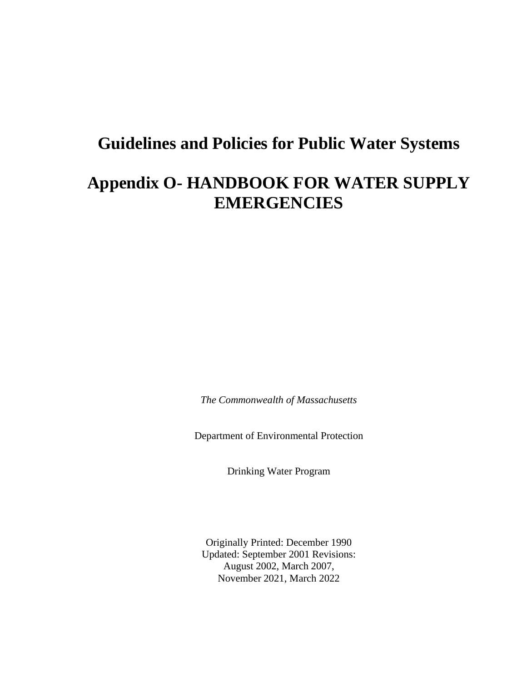# **Guidelines and Policies for Public Water Systems**

# **Appendix O- HANDBOOK FOR WATER SUPPLY EMERGENCIES**

*The Commonwealth of Massachusetts*

Department of Environmental Protection

Drinking Water Program

Originally Printed: December 1990 Updated: September 2001 Revisions: August 2002, March 2007, November 2021, March 2022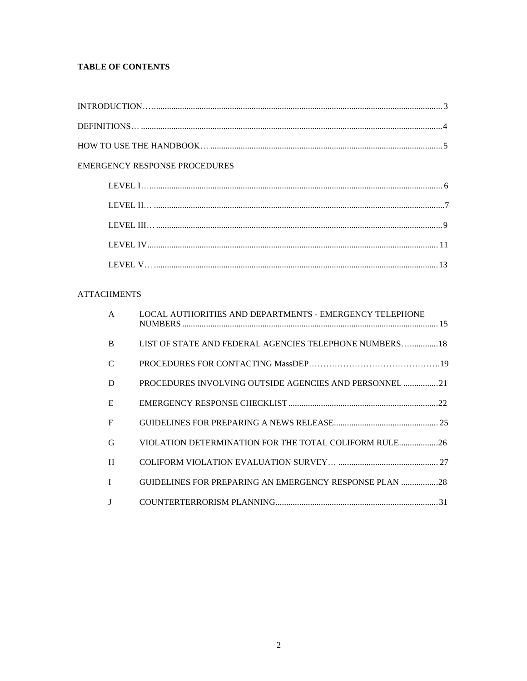# **TABLE OF CONTENTS**

| <b>EMERGENCY RESPONSE PROCEDURES</b> |  |
|--------------------------------------|--|
|                                      |  |
|                                      |  |
|                                      |  |
|                                      |  |
|                                      |  |

# **ATTACHMENTS**

| $\mathsf{A}$ | LOCAL AUTHORITIES AND DEPARTMENTS - EMERGENCY TELEPHONE       |
|--------------|---------------------------------------------------------------|
| <sub>R</sub> | LIST OF STATE AND FEDERAL AGENCIES TELEPHONE NUMBERS 18       |
| C            |                                                               |
| D            | PROCEDURES INVOLVING OUTSIDE AGENCIES AND PERSONNEL 21        |
| E            |                                                               |
| F            |                                                               |
| G            | VIOLATION DETERMINATION FOR THE TOTAL COLIFORM RULE26         |
| H            |                                                               |
| $\mathbf{I}$ | <b>GUIDELINES FOR PREPARING AN EMERGENCY RESPONSE PLAN 28</b> |
|              |                                                               |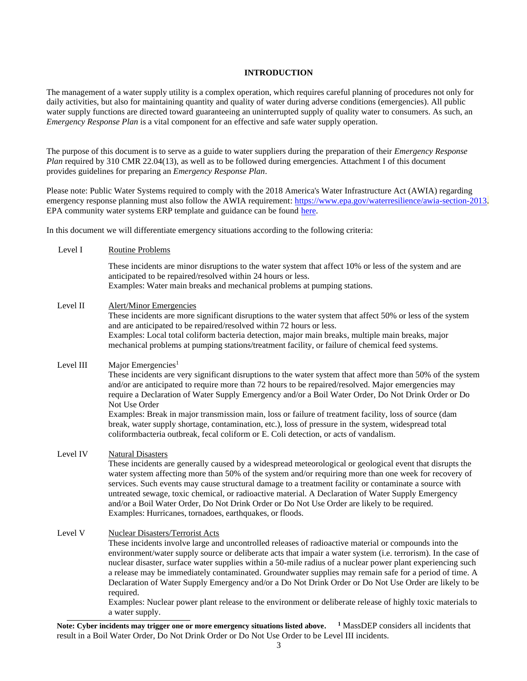# **INTRODUCTION**

<span id="page-2-0"></span>The management of a water supply utility is a complex operation, which requires careful planning of procedures not only for daily activities, but also for maintaining quantity and quality of water during adverse conditions (emergencies). All public water supply functions are directed toward guaranteeing an uninterrupted supply of quality water to consumers. As such, an *Emergency Response Plan* is a vital component for an effective and safe water supply operation.

The purpose of this document is to serve as a guide to water suppliers during the preparation of their *Emergency Response Plan required by 310 CMR 22.04(13), as well as to be followed during emergencies. Attachment I of this document* provides guidelines for preparing an *Emergency Response Plan*.

Please note: Public Water Systems required to comply with the 2018 America's Water Infrastructure Act (AWIA) regarding emergency response planning must also follow the AWIA requirement[: https://www.epa.gov/waterresilience/awia-section-2013.](https://www.epa.gov/waterresilience/awia-section-2013) EPA community water systems ERP template and guidance can be foun[d here.](https://www.epa.gov/sites/default/files/2019-07/documents/190712-awia_erp_template_instructions_kab_508c_v6.pdf?VersionId=qNcn8X_2.554jehm.WgwRkpmQ0nSwImZ)

In this document we will differentiate emergency situations according to the following criteria:

Level I Routine Problems

These incidents are minor disruptions to the water system that affect 10% or less of the system and are anticipated to be repaired/resolved within 24 hours or less. Examples: Water main breaks and mechanical problems at pumping stations.

# Level II Alert/Minor Emergencies

These incidents are more significant disruptions to the water system that affect 50% or less of the system and are anticipated to be repaired/resolved within 72 hours or less. Examples: Local total coliform bacteria detection, major main breaks, multiple main breaks, major mechanical problems at pumping stations/treatment facility, or failure of chemical feed systems.

# Level III Major Emergencies<sup>1</sup> These incidents are very significant disruptions to the water system that affect more than 50% of the system and/or are anticipated to require more than 72 hours to be repaired/resolved. Major emergencies may require a Declaration of Water Supply Emergency and/or a Boil Water Order, Do Not Drink Order or Do Not Use Order Examples: Break in major transmission main, loss or failure of treatment facility, loss of source (dam break, water supply shortage, contamination, etc.), loss of pressure in the system, widespread total coliformbacteria outbreak, fecal coliform or E. Coli detection, or acts of vandalism.

# Level IV Natural Disasters

These incidents are generally caused by a widespread meteorological or geological event that disrupts the water system affecting more than 50% of the system and/or requiring more than one week for recovery of services. Such events may cause structural damage to a treatment facility or contaminate a source with untreated sewage, toxic chemical, or radioactive material. A Declaration of Water Supply Emergency and/or a Boil Water Order, Do Not Drink Order or Do Not Use Order are likely to be required. Examples: Hurricanes, tornadoes, earthquakes, or floods.

#### Level V Nuclear Disasters/Terrorist Acts

These incidents involve large and uncontrolled releases of radioactive material or compounds into the environment/water supply source or deliberate acts that impair a water system (i.e. terrorism). In the case of nuclear disaster, surface water supplies within a 50-mile radius of a nuclear power plant experiencing such a release may be immediately contaminated. Groundwater supplies may remain safe for a period of time. A Declaration of Water Supply Emergency and/or a Do Not Drink Order or Do Not Use Order are likely to be required.

Examples: Nuclear power plant release to the environment or deliberate release of highly toxic materials to a water supply.

**Note: Cyber incidents may trigger one or more emergency situations listed above. <sup>1</sup>** MassDEP considers all incidents that result in a Boil Water Order, Do Not Drink Order or Do Not Use Order to be Level III incidents.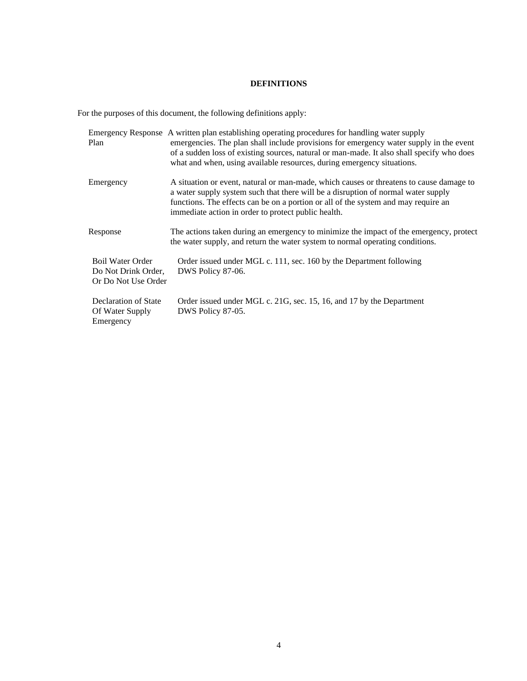# **DEFINITIONS**

<span id="page-3-0"></span>For the purposes of this document, the following definitions apply:

| Plan                                                                  | Emergency Response A written plan establishing operating procedures for handling water supply<br>emergencies. The plan shall include provisions for emergency water supply in the event<br>of a sudden loss of existing sources, natural or man-made. It also shall specify who does<br>what and when, using available resources, during emergency situations. |
|-----------------------------------------------------------------------|----------------------------------------------------------------------------------------------------------------------------------------------------------------------------------------------------------------------------------------------------------------------------------------------------------------------------------------------------------------|
| Emergency                                                             | A situation or event, natural or man-made, which causes or threatens to cause damage to<br>a water supply system such that there will be a disruption of normal water supply<br>functions. The effects can be on a portion or all of the system and may require an<br>immediate action in order to protect public health.                                      |
| Response                                                              | The actions taken during an emergency to minimize the impact of the emergency, protect<br>the water supply, and return the water system to normal operating conditions.                                                                                                                                                                                        |
| <b>Boil Water Order</b><br>Do Not Drink Order,<br>Or Do Not Use Order | Order issued under MGL c. 111, sec. 160 by the Department following<br>DWS Policy 87-06.                                                                                                                                                                                                                                                                       |
| Declaration of State<br>Of Water Supply<br>Emergency                  | Order issued under MGL c. 21G, sec. 15, 16, and 17 by the Department<br>DWS Policy 87-05.                                                                                                                                                                                                                                                                      |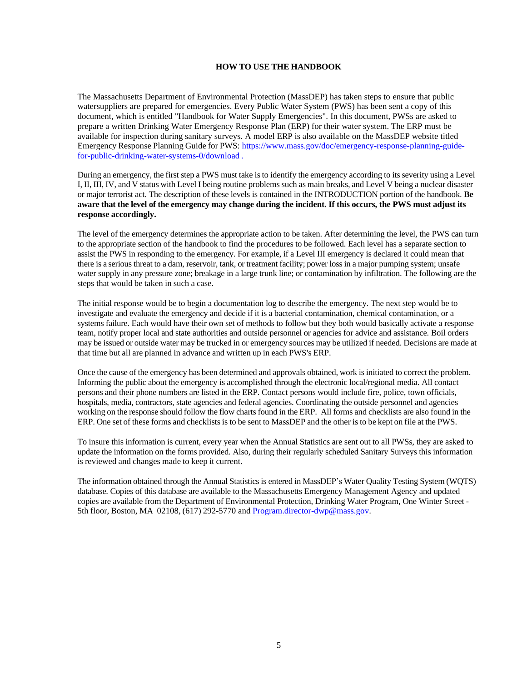# **HOW TO USE THE HANDBOOK**

<span id="page-4-0"></span>The Massachusetts Department of Environmental Protection (MassDEP) has taken steps to ensure that public watersuppliers are prepared for emergencies. Every Public Water System (PWS) has been sent a copy of this document, which is entitled "Handbook for Water Supply Emergencies". In this document, PWSs are asked to prepare a written Drinking Water Emergency Response Plan (ERP) for their water system. The ERP must be available for inspection during sanitary surveys. A model ERP is also available on the MassDEP website titled Emergency Response Planning Guide for PWS: [https://www.mass.gov/doc/emergency-response-planning-guide](https://www.mass.gov/doc/emergency-response-planning-guide-for-public-drinking-water-systems-0/download)[for-public-drinking-water-systems-0/download](https://www.mass.gov/doc/emergency-response-planning-guide-for-public-drinking-water-systems-0/download) .

During an emergency, the first step a PWS must take is to identify the emergency according to its severity using a Level I, II, III, IV, and V status with Level I being routine problemssuch as main breaks, and Level V being a nuclear disaster or major terrorist act. The description of these levels is contained in the INTRODUCTION portion of the handbook. **Be aware that the level of the emergency may change during the incident. If this occurs, the PWS must adjust its response accordingly.**

The level of the emergency determines the appropriate action to be taken. After determining the level, the PWS can turn to the appropriate section of the handbook to find the procedures to be followed. Each level has a separate section to assist the PWS in responding to the emergency. For example, if a Level III emergency is declared it could mean that there is a serious threat to a dam, reservoir, tank, or treatment facility; power loss in a major pumping system; unsafe water supply in any pressure zone; breakage in a large trunk line; or contamination by infiltration. The following are the steps that would be taken in such a case.

The initial response would be to begin a documentation log to describe the emergency. The next step would be to investigate and evaluate the emergency and decide if it is a bacterial contamination, chemical contamination, or a systems failure. Each would have their own set of methods to follow but they both would basically activate a response team, notify proper local and state authorities and outside personnel or agencies for advice and assistance. Boil orders may be issued or outside water may be trucked in or emergency sources may be utilized if needed. Decisions are made at that time but all are planned in advance and written up in each PWS's ERP.

Once the cause of the emergency has been determined and approvals obtained, work isinitiated to correct the problem. Informing the public about the emergency is accomplished through the electronic local/regional media. All contact persons and their phone numbers are listed in the ERP. Contact persons would include fire, police, town officials, hospitals, media, contractors, state agencies and federal agencies. Coordinating the outside personnel and agencies working on the response should follow the flow charts found in the ERP. All forms and checklists are also found in the ERP. One set of these forms and checklists is to be sent to MassDEP and the other is to be kept on file at the PWS.

To insure this information is current, every year when the Annual Statistics are sent out to all PWSs, they are asked to update the information on the forms provided. Also, during their regularly scheduled Sanitary Surveys this information is reviewed and changes made to keep it current.

The information obtained through the Annual Statisticsis entered in MassDEP's Water Quality Testing System (WQTS) database. Copies of this database are available to the Massachusetts Emergency Management Agency and updated copies are available from the Department of Environmental Protection, Drinking Water Program, One Winter Street 5th floor, Boston, MA 02108, (617) 292-5770 an[d Program.director-dwp@mass.gov.](mailto:Program.director-dwp@mass.gov)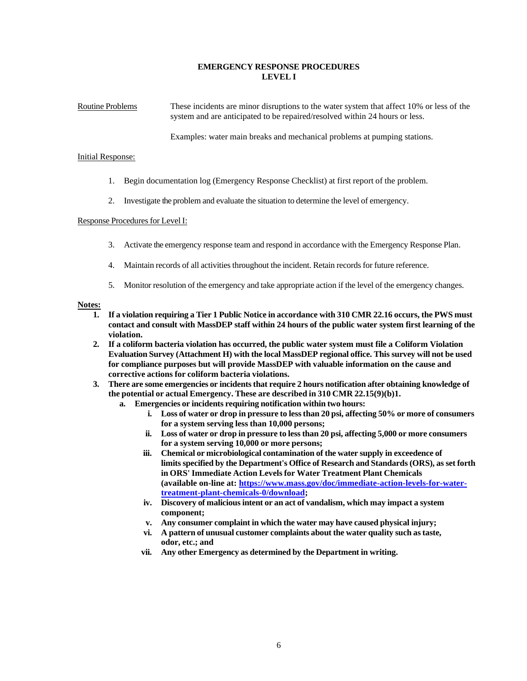# **EMERGENCY RESPONSE PROCEDURES LEVEL I**

Routine Problems These incidents are minor disruptions to the water system that affect 10% or less of the system and are anticipated to be repaired/resolved within 24 hours or less.

Examples: water main breaks and mechanical problems at pumping stations.

#### Initial Response:

- 1. Begin documentation log (Emergency Response Checklist) at first report of the problem.
- 2. Investigate the problem and evaluate the situation to determine the level of emergency.

#### Response Procedures for Level I:

- 3. Activate the emergency response team and respond in accordance with the Emergency Response Plan.
- 4. Maintain records of all activities throughout the incident. Retain recordsfor future reference.
- 5. Monitor resolution of the emergency and take appropriate action if the level of the emergency changes.

## **Notes:**

- 1. If a violation requiring a Tier 1 Public Notice in accordance with 310 CMR 22.16 occurs, the PWS must **contact and consult with MassDEP staff within 24 hours of the public water system first learning of the violation.**
- **2. If a coliform bacteria violation has occurred, the public water system must file a Coliform Violation Evaluation Survey (Attachment H) with the local MassDEP regional office. This survey will not be used for compliance purposes but will provide MassDEP with valuable information on the cause and corrective actions for coliform bacteria violations.**
- **3. There are some emergencies or incidentsthat require 2 hours notification after obtaining knowledge of the potential or actual Emergency. These are described in 310 CMR 22.15(9)(b)1.**
	- **a. Emergencies or incidents requiring notification within two hours:**
		- **i. Loss of water or drop in pressure to lessthan 20 psi, affecting 50% or more of consumers for a system serving less than 10,000 persons;**
		- **ii. Loss of water or drop in pressure to lessthan 20 psi, affecting 5,000 or more consumers for a system serving 10,000 or more persons;**
		- **iii. Chemical or microbiological contamination of the water supply in exceedence of limitsspecified by the Department's Office of Research and Standards(ORS), as set forth in ORS' Immediate Action Levelsfor Water Treatment Plant Chemicals (available on-line at: [https://www.mass.gov/doc/immediate-action-levels-for-water](https://www.mass.gov/doc/immediate-action-levels-for-water-treatment-plant-chemicals-0/download)[treatment-plant-chemicals-0/download;](https://www.mass.gov/doc/immediate-action-levels-for-water-treatment-plant-chemicals-0/download)**
		- **iv. Discovery of maliciousintent or an act of vandalism, which may impact a system component;**
		- **v. Any consumer complaint in which the water may have caused physical injury;**
		- **vi. A pattern of unusual customer complaints about the water quality such astaste, odor, etc.; and**
		- **vii. Any other Emergency as determined by the Department in writing.**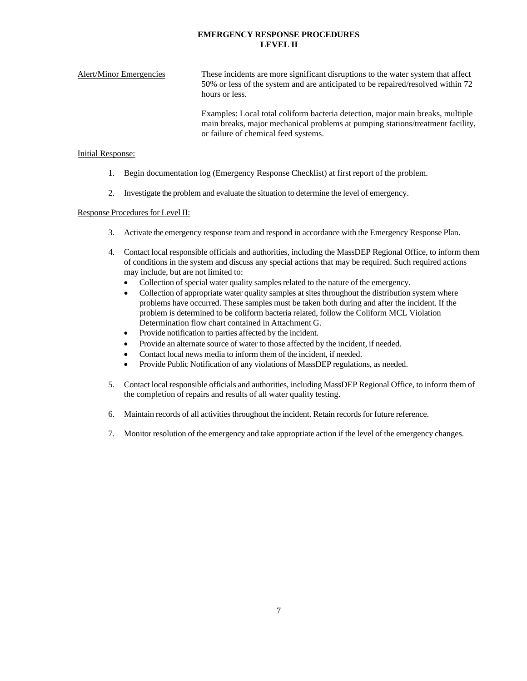# **EMERGENCY RESPONSE PROCEDURES LEVEL II**

Alert/Minor Emergencies These incidents are more significant disruptions to the water system that affect 50% or less of the system and are anticipated to be repaired/resolved within 72 hours or less.

> Examples: Local total coliform bacteria detection, major main breaks, multiple main breaks, major mechanical problems at pumping stations/treatment facility, or failure of chemical feed systems.

#### Initial Response:

- 1. Begin documentation log (Emergency Response Checklist) at first report of the problem.
- 2. Investigate the problem and evaluate the situation to determine the level of emergency.

# Response Procedures for Level II:

- 3. Activate the emergency response team and respond in accordance with the Emergency Response Plan.
- 4. Contact local responsible officials and authorities, including the MassDEP Regional Office, to inform them of conditions in the system and discuss any special actions that may be required. Such required actions may include, but are not limited to:
	- Collection of special water quality samples related to the nature of the emergency.
	- Collection of appropriate water quality samples at sites throughout the distribution system where problems have occurred. These samples must be taken both during and after the incident. If the problem is determined to be coliform bacteria related, follow the Coliform MCL Violation Determination flow chart contained in Attachment G.
	- Provide notification to parties affected by the incident.
	- Provide an alternate source of water to those affected by the incident, if needed.
	- Contact local news media to inform them of the incident, if needed.
	- Provide Public Notification of any violations of MassDEP regulations, as needed.
- 5. Contact local responsible officials and authorities, including MassDEP Regional Office, to inform them of the completion of repairs and results of all water quality testing.
- 6. Maintain records of all activities throughout the incident. Retain recordsfor future reference.
- 7. Monitor resolution of the emergency and take appropriate action if the level of the emergency changes.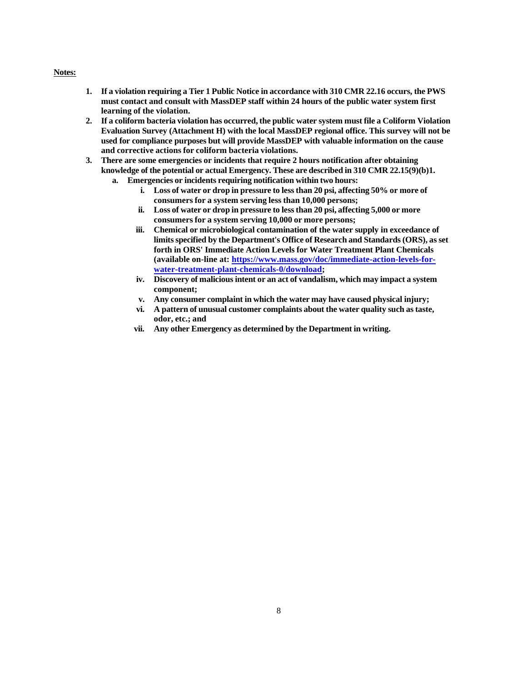#### **Notes:**

- 1. If a violation requiring a Tier 1 Public Notice in accordance with 310 CMR 22.16 occurs, the PWS **must contact and consult with MassDEP staff within 24 hours of the public water system first learning of the violation.**
- **2. If a coliform bacteria violation has occurred, the public water system must file a Coliform Violation Evaluation Survey (Attachment H) with the local MassDEP regional office. This survey will not be used for compliance purposes but will provide MassDEP with valuable information on the cause and corrective actions for coliform bacteria violations.**
- **3. There are some emergencies or incidents that require 2 hours notification after obtaining knowledge of the potential or actual Emergency. These are described in 310 CMR 22.15(9)(b)1.**
	- **a. Emergencies or incidents requiring notification within two hours:**
		- **i. Loss of water or drop in pressure to lessthan 20 psi, affecting 50% or more of consumersfor a system serving less than 10,000 persons;**
		- **ii. Loss of water or drop in pressure to lessthan 20 psi, affecting 5,000 or more consumersfor a system serving 10,000 or more persons;**
		- **iii. Chemical or microbiological contamination of the water supply in exceedance of limitsspecified by the Department's Office of Research and Standards(ORS), as set forth in ORS' Immediate Action Levels for Water Treatment Plant Chemicals (available on-line at: [https://www.mass.gov/doc/immediate-action-levels-for](https://www.mass.gov/doc/immediate-action-levels-for-water-treatment-plant-chemicals-0/download)[water-treatment-plant-chemicals-0/download;](https://www.mass.gov/doc/immediate-action-levels-for-water-treatment-plant-chemicals-0/download)**
		- **iv. Discovery of maliciousintent or an act of vandalism, which may impact a system component;**
		- **v. Any consumer complaint in which the water may have caused physical injury;**
		- **vi. A pattern of unusual customer complaints about the water quality such astaste, odor, etc.; and**
		- **vii. Any other Emergency as determined by the Department in writing.**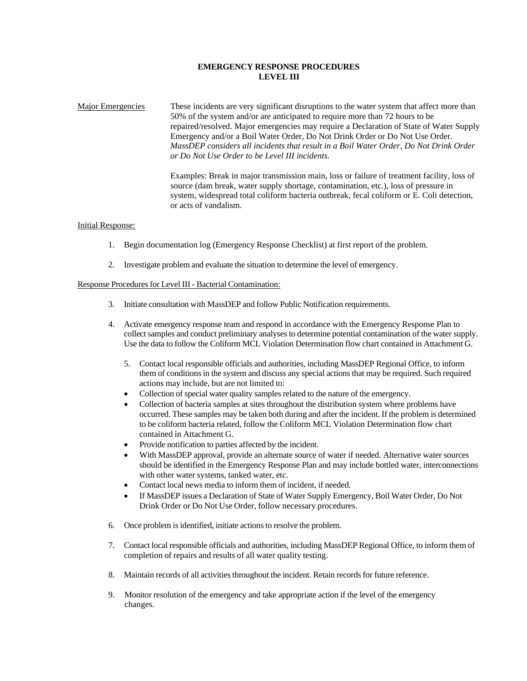# **EMERGENCY RESPONSE PROCEDURES LEVEL III**

Major Emergencies These incidents are very significant disruptions to the water system that affect more than 50% of the system and/or are anticipated to require more than 72 hours to be repaired/resolved. Major emergencies may require a Declaration of State of Water Supply Emergency and/or a Boil Water Order, Do Not Drink Order or Do Not Use Order. *MassDEP considers all incidents that result in a Boil Water Order, Do Not Drink Order or Do Not Use Order to be Level III incidents.*

> Examples: Break in major transmission main, loss or failure of treatment facility, loss of source (dam break, water supply shortage, contamination, etc.), loss of pressure in system, widespread total coliform bacteria outbreak, fecal coliform or E. Coli detection, or acts of vandalism.

#### Initial Response:

- 1. Begin documentation log (Emergency Response Checklist) at first report of the problem.
- 2. Investigate problem and evaluate the situation to determine the level of emergency.

# Response Procedures for Level III - Bacterial Contamination:

- 3. Initiate consultation with MassDEP and follow Public Notification requirements.
- 4. Activate emergency response team and respond in accordance with the Emergency Response Plan to collect samples and conduct preliminary analyses to determine potential contamination of the water supply. Use the data to follow the Coliform MCL Violation Determination flow chart contained in Attachment G.
	- 5. Contact local responsible officials and authorities, including MassDEP Regional Office, to inform them of conditionsin the system and discuss any special actions that may be required. Such required actions may include, but are not limited to:
	- Collection of special water quality samples related to the nature of the emergency.
	- Collection of bacteria samples at sites throughout the distribution system where problems have occurred. These samples may be taken both during and after the incident. If the problem is determined to be coliform bacteria related, follow the Coliform MCL Violation Determination flow chart contained in Attachment G.
	- Provide notification to parties affected by the incident.
	- With MassDEP approval, provide an alternate source of water if needed. Alternative water sources should be identified in the Emergency Response Plan and may include bottled water, interconnections with other water systems, tanked water, etc.
	- Contact local news media to inform them of incident, if needed.
	- If MassDEP issues a Declaration of State of Water Supply Emergency, Boil Water Order, Do Not Drink Order or Do Not Use Order, follow necessary procedures.
- 6. Once problem is identified, initiate actions to resolve the problem.
- 7. Contact local responsible officials and authorities, including MassDEP Regional Office, to inform them of completion of repairs and results of all water quality testing.
- 8. Maintain records of all activities throughout the incident. Retain records for future reference.
- 9. Monitor resolution of the emergency and take appropriate action if the level of the emergency changes.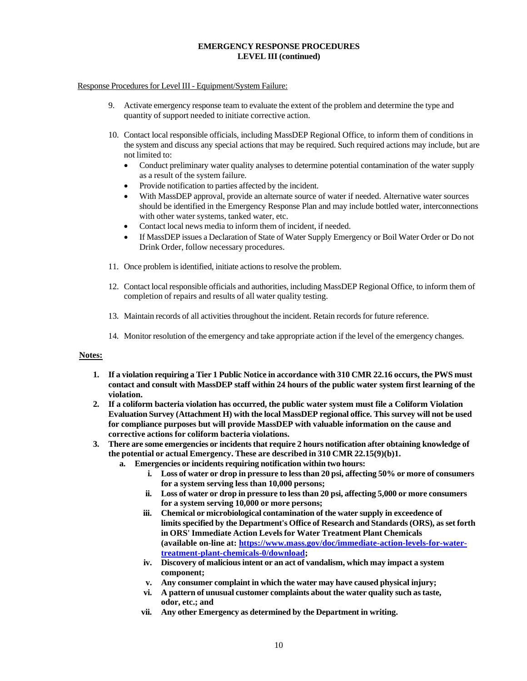# **EMERGENCY RESPONSE PROCEDURES LEVEL III (continued)**

## <span id="page-9-0"></span>Response Procedures for Level III - Equipment/System Failure:

- 9. Activate emergency response team to evaluate the extent of the problem and determine the type and quantity of support needed to initiate corrective action.
- 10. Contact local responsible officials, including MassDEP Regional Office, to inform them of conditions in the system and discuss any special actions that may be required. Such required actions may include, but are not limited to:
	- Conduct preliminary water quality analyses to determine potential contamination of the water supply as a result of the system failure.
	- Provide notification to parties affected by the incident.
	- With MassDEP approval, provide an alternate source of water if needed. Alternative water sources should be identified in the Emergency Response Plan and may include bottled water, interconnections with other water systems, tanked water, etc.
	- Contact local news media to inform them of incident, if needed.
	- If MassDEP issues a Declaration of State of Water Supply Emergency or Boil Water Order or Do not Drink Order, follow necessary procedures.
- 11. Once problem is identified, initiate actions to resolve the problem.
- 12. Contact local responsible officials and authorities, including MassDEP Regional Office, to inform them of completion of repairs and results of all water quality testing.
- 13. Maintain records of all activities throughout the incident. Retain records for future reference.
- 14. Monitor resolution of the emergency and take appropriate action if the level of the emergency changes.

#### **Notes:**

- 1. If a violation requiring a Tier 1 Public Notice in accordance with 310 CMR 22.16 occurs, the PWS must **contact and consult with MassDEP staff within 24 hours of the public water system first learning of the violation.**
- **2. If a coliform bacteria violation has occurred, the public water system must file a Coliform Violation Evaluation Survey (Attachment H) with the local MassDEP regional office. This survey will not be used for compliance purposes but will provide MassDEP with valuable information on the cause and corrective actions for coliform bacteria violations.**
- **3. There are some emergencies or incidentsthat require 2 hours notification after obtaining knowledge of the potential or actual Emergency. These are described in 310 CMR 22.15(9)(b)1.**
	- **a. Emergencies or incidents requiring notification within two hours:**
		- **i. Loss of water or drop in pressure to lessthan 20 psi, affecting 50% or more of consumers for a system serving less than 10,000 persons;**
		- **ii. Loss of water or drop in pressure to lessthan 20 psi, affecting 5,000 or more consumers for a system serving 10,000 or more persons;**
		- **iii. Chemical or microbiological contamination of the water supply in exceedence of limitsspecified by the Department's Office of Research and Standards(ORS), as set forth in ORS' Immediate Action Levelsfor Water Treatment Plant Chemicals (available on-line at: [https://www.mass.gov/doc/immediate-action-levels-for-water](https://www.mass.gov/doc/immediate-action-levels-for-water-treatment-plant-chemicals-0/download)[treatment-plant-chemicals-0/download;](https://www.mass.gov/doc/immediate-action-levels-for-water-treatment-plant-chemicals-0/download)**
		- **iv. Discovery of maliciousintent or an act of vandalism, which may impact a system component;**
		- **v. Any consumer complaint in which the water may have caused physical injury;**
		- **vi. A pattern of unusual customer complaints about the water quality such astaste, odor, etc.; and**
		- **vii. Any other Emergency as determined by the Department in writing.**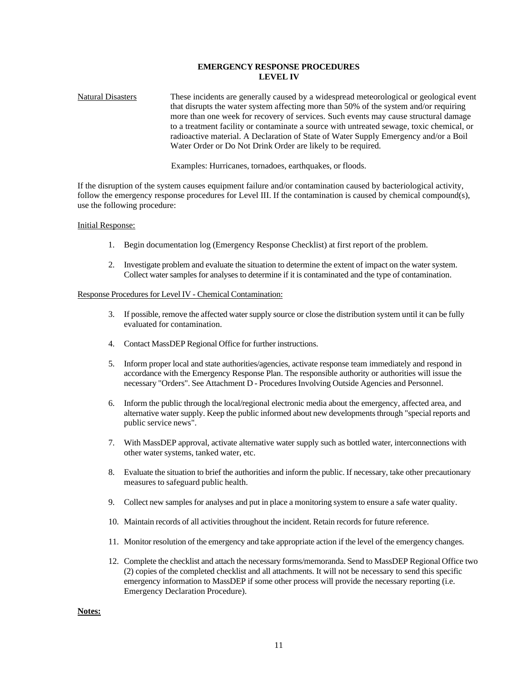# **EMERGENCY RESPONSE PROCEDURES LEVEL IV**

Natural Disasters These incidents are generally caused by a widespread meteorological or geological event that disrupts the water system affecting more than 50% of the system and/or requiring more than one week for recovery of services. Such events may cause structural damage to a treatment facility or contaminate a source with untreated sewage, toxic chemical, or radioactive material. A Declaration of State of Water Supply Emergency and/or a Boil Water Order or Do Not Drink Order are likely to be required.

Examples: Hurricanes, tornadoes, earthquakes, or floods.

If the disruption of the system causes equipment failure and/or contamination caused by bacteriological activity, follow the emergency response procedures for Level III. If the contamination is caused by chemical compound(s), use the following procedure:

#### Initial Response:

- 1. Begin documentation log (Emergency Response Checklist) at first report of the problem.
- 2. Investigate problem and evaluate the situation to determine the extent of impact on the water system. Collect water samples for analyses to determine if it is contaminated and the type of contamination.

#### Response Procedures for Level IV - Chemical Contamination:

- 3. If possible, remove the affected water supply source or close the distribution system until it can be fully evaluated for contamination.
- 4. Contact MassDEP Regional Office for further instructions.
- 5. Inform proper local and state authorities/agencies, activate response team immediately and respond in accordance with the Emergency Response Plan. The responsible authority or authorities will issue the necessary "Orders". See Attachment D - ProceduresInvolving Outside Agencies and Personnel.
- 6. Inform the public through the local/regional electronic media about the emergency, affected area, and alternative water supply. Keep the public informed about new developmentsthrough "special reports and public service news".
- 7. With MassDEP approval, activate alternative water supply such as bottled water, interconnections with other water systems, tanked water, etc.
- 8. Evaluate the situation to brief the authorities and inform the public. If necessary, take other precautionary measures to safeguard public health.
- 9. Collect new samplesfor analyses and put in place a monitoring system to ensure a safe water quality.
- 10. Maintain records of all activities throughout the incident. Retain records for future reference.
- 11. Monitor resolution of the emergency and take appropriate action if the level of the emergency changes.
- 12. Complete the checklist and attach the necessary forms/memoranda. Send to MassDEP Regional Office two (2) copies of the completed checklist and all attachments. It will not be necessary to send this specific emergency information to MassDEP if some other process will provide the necessary reporting (i.e. Emergency Declaration Procedure).

**Notes:**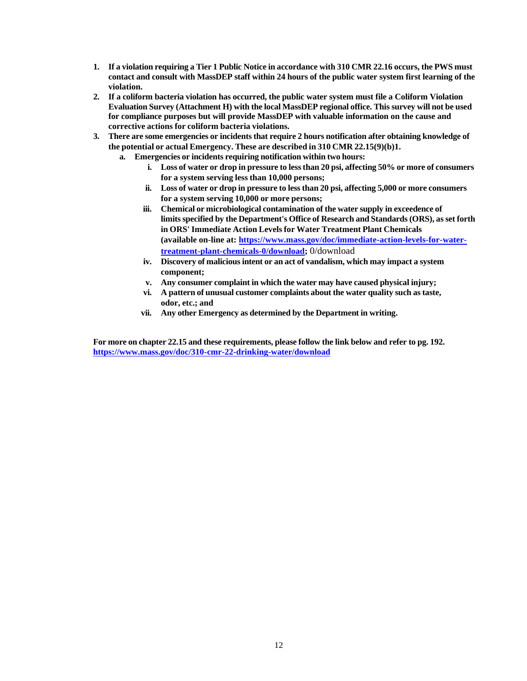- 1. If a violation requiring a Tier 1 Public Notice in accordance with 310 CMR 22.16 occurs, the PWS must **contact and consult with MassDEP staff within 24 hours of the public water system first learning of the violation.**
- **2. If a coliform bacteria violation has occurred, the public water system must file a Coliform Violation Evaluation Survey (Attachment H) with the local MassDEP regional office. This survey will not be used for compliance purposes but will provide MassDEP with valuable information on the cause and corrective actions for coliform bacteria violations.**
- **3. There are some emergencies or incidentsthat require 2 hours notification after obtaining knowledge of the potential or actual Emergency. These are described in 310 CMR 22.15(9)(b)1.**
	- **a. Emergencies or incidents requiring notification within two hours:**
		- **i. Loss of water or drop in pressure to lessthan 20 psi, affecting 50% or more of consumers for a system serving less than 10,000 persons;**
		- **ii. Loss of water or drop in pressure to lessthan 20 psi, affecting 5,000 or more consumers for a system serving 10,000 or more persons;**
		- **iii. Chemical or microbiological contamination of the water supply in exceedence of limitsspecified by the Department's Office of Research and Standards(ORS), as set forth in ORS' Immediate Action Levelsfor Water Treatment Plant Chemicals (available on-line at: [https://www.mass.gov/doc/immediate-action-levels-for-water](https://www.mass.gov/doc/immediate-action-levels-for-water-treatment-plant-chemicals-0/download)[treatment-plant-chemicals-0/download;](https://www.mass.gov/doc/immediate-action-levels-for-water-treatment-plant-chemicals-0/download)** 0/download
		- **iv. Discovery of maliciousintent or an act of vandalism, which may impact a system component;**
		- **v. Any consumer complaint in which the water may have caused physical injury;**
		- **vi. A pattern of unusual customer complaints about the water quality such astaste, odor, etc.; and**
		- **vii. Any other Emergency as determined by the Department in writing.**

For more on chapter 22.15 and these requirements, please follow the link below and refer to pg. 192. **<https://www.mass.gov/doc/310-cmr-22-drinking-water/download>**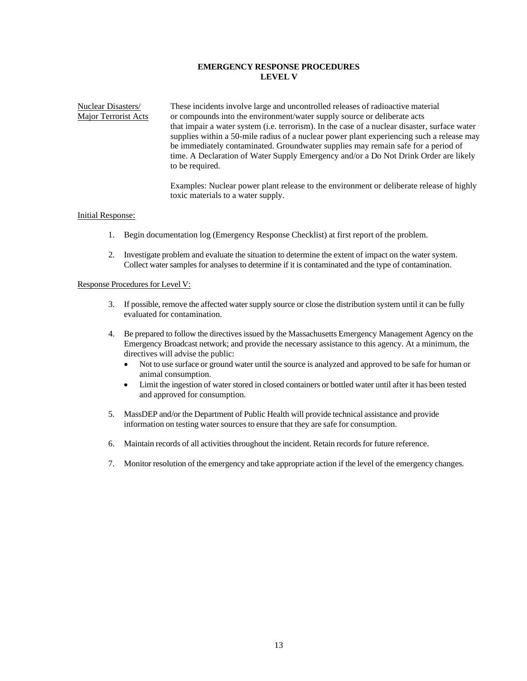# **EMERGENCY RESPONSE PROCEDURES LEVEL V**

Nuclear Disasters/ These incidents involve large and uncontrolled releases of radioactive material Major Terrorist Acts or compounds into the environment/water supply source or deliberate acts that impair a water system (i.e. terrorism). In the case of a nuclear disaster, surface water supplies within a 50-mile radius of a nuclear power plant experiencing such a release may be immediately contaminated. Groundwater supplies may remain safe for a period of time. A Declaration of Water Supply Emergency and/or a Do Not Drink Order are likely to be required.

> Examples: Nuclear power plant release to the environment or deliberate release of highly toxic materials to a water supply.

# Initial Response:

- 1. Begin documentation log (Emergency Response Checklist) at first report of the problem.
- 2. Investigate problem and evaluate the situation to determine the extent of impact on the water system. Collect water samples for analyses to determine if it is contaminated and the type of contamination.

#### Response Procedures for Level V:

- 3. If possible, remove the affected water supply source or close the distribution system until it can be fully evaluated for contamination.
- 4. Be prepared to follow the directives issued by the Massachusetts Emergency Management Agency on the Emergency Broadcast network; and provide the necessary assistance to this agency. At a minimum, the directives will advise the public:
	- Not to use surface or ground water until the source is analyzed and approved to be safe for human or animal consumption.
	- Limit the ingestion of water stored in closed containers or bottled water until after it has been tested and approved for consumption.
- 5. MassDEP and/or the Department of Public Health will provide technical assistance and provide information on testing water sources to ensure that they are safe for consumption.
- 6. Maintain records of all activities throughout the incident. Retain records for future reference.
- 7. Monitor resolution of the emergency and take appropriate action if the level of the emergency changes.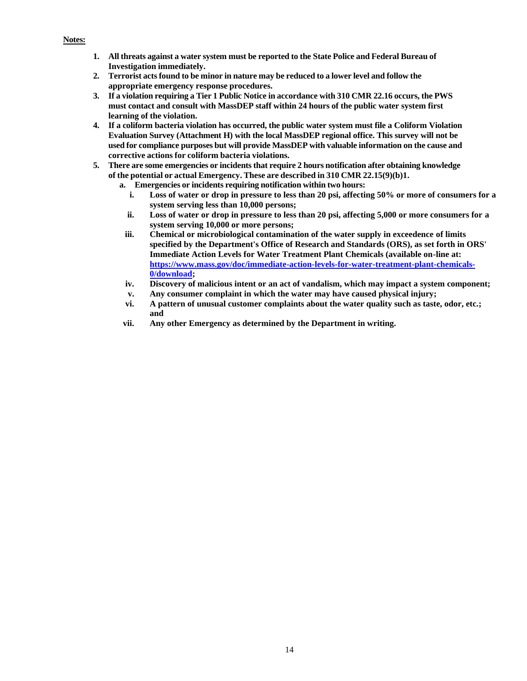#### **Notes:**

- **1. All threats against a water system must be reported to the State Police and Federal Bureau of Investigation immediately.**
- **2. Terrorist actsfound to be minor in nature may be reduced to a lower level and follow the appropriate emergency response procedures.**
- 3. If a violation requiring a Tier 1 Public Notice in accordance with 310 CMR 22.16 occurs, the PWS **must contact and consult with MassDEP staff within 24 hours of the public water system first learning of the violation.**
- **4. If a coliform bacteria violation has occurred, the public water system must file a Coliform Violation Evaluation Survey (Attachment H) with the local MassDEP regional office. This survey will not be used for compliance purposes but will provide MassDEP with valuable information on the cause and corrective actions for coliform bacteria violations.**
- **5. There are some emergencies or incidentsthat require 2 hours notification after obtaining knowledge of the potential or actual Emergency. These are described in 310 CMR 22.15(9)(b)1.**
	- **a. Emergencies or incidents requiring notification within two hours:**
		- **i. Loss of water or drop in pressure to less than 20 psi, affecting 50% or more of consumers for a system serving less than 10,000 persons;**
		- **ii. Loss of water or drop in pressure to less than 20 psi, affecting 5,000 or more consumers for a system serving 10,000 or more persons;**
	- **iii. Chemical or microbiological contamination of the water supply in exceedence of limits specified by the Department's Office of Research and Standards (ORS), as set forth in ORS' Immediate Action Levels for Water Treatment Plant Chemicals (available on-line at: [https://www.mass.gov/doc/immediate-action-levels-for-water-treatment-plant-chemicals-](https://www.mass.gov/doc/immediate-action-levels-for-water-treatment-plant-chemicals-0/download)[0/download;](https://www.mass.gov/doc/immediate-action-levels-for-water-treatment-plant-chemicals-0/download)**
	- **iv. Discovery of malicious intent or an act of vandalism, which may impact a system component;**
	- **v. Any consumer complaint in which the water may have caused physical injury;**
	- **vi. A pattern of unusual customer complaints about the water quality such as taste, odor, etc.; and**
	- **vii. Any other Emergency as determined by the Department in writing.**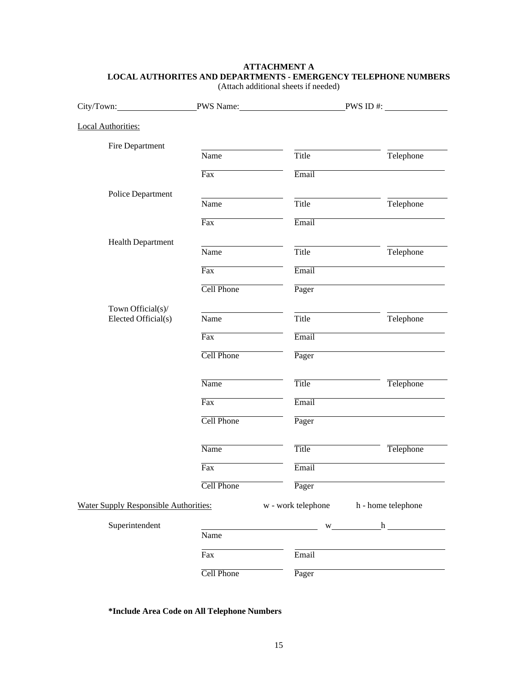# **ATTACHMENT A LOCAL AUTHORITES AND DEPARTMENTS - EMERGENCY TELEPHONE NUMBERS**

| City/Town:                                   |                         | PWS Name: PWS ID #: |                    |
|----------------------------------------------|-------------------------|---------------------|--------------------|
| <b>Local Authorities:</b>                    |                         |                     |                    |
| Fire Department                              | Name                    | Title               | Telephone          |
|                                              | $\overline{\text{Fax}}$ | Email               |                    |
| Police Department                            | Name                    | Title               | Telephone          |
|                                              | $\overline{\text{Fax}}$ | Email               |                    |
| <b>Health Department</b>                     |                         |                     |                    |
|                                              | Name                    | Title               | Telephone          |
|                                              | $\overline{\text{Fax}}$ | Email               |                    |
|                                              | Cell Phone              | Pager               |                    |
| Town Official(s)/<br>Elected Official(s)     | Name                    | Title               | Telephone          |
|                                              | $\overline{Fax}$        | Email               |                    |
|                                              | Cell Phone              | Pager               |                    |
|                                              | Name                    | <b>Title</b>        | Telephone          |
|                                              | $\overline{Fax}$        | Email               |                    |
|                                              | Cell Phone              | Pager               |                    |
|                                              | Name                    | Title               | Telephone          |
|                                              | $\overline{\text{Fax}}$ | Email               |                    |
|                                              | Cell Phone              | Pager               |                    |
| <b>Water Supply Responsible Authorities:</b> |                         | w - work telephone  | h - home telephone |
| Superintendent                               | Name                    |                     | $w_1$ $h_2$        |
|                                              | Fax                     | Email               |                    |
|                                              | Cell Phone              | Pager               |                    |

(Attach additional sheets if needed)

**\*Include Area Code on All Telephone Numbers**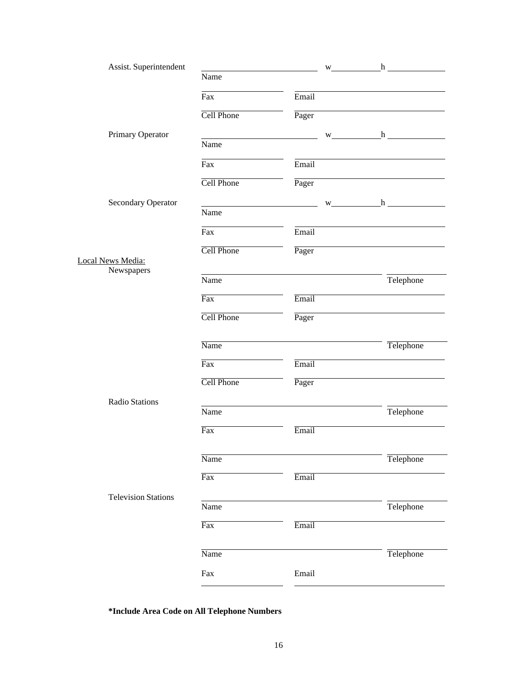| Assist. Superintendent     |                         |       | $w_$ h    |
|----------------------------|-------------------------|-------|-----------|
|                            | Name                    |       |           |
|                            | Fax                     | Email |           |
|                            | Cell Phone              | Pager |           |
| Primary Operator           |                         |       |           |
|                            | Name                    |       |           |
|                            | Fax                     | Email |           |
|                            | <b>Cell Phone</b>       | Pager |           |
| Secondary Operator         |                         |       | $w$ h     |
|                            | Name                    |       |           |
|                            | Fax                     | Email |           |
|                            | Cell Phone              | Pager |           |
| Local News Media:          |                         |       |           |
| Newspapers                 | Name                    |       | Telephone |
|                            | $\overline{Fax}$        | Email |           |
|                            | Cell Phone              | Pager |           |
|                            |                         |       |           |
|                            | Name                    |       | Telephone |
|                            | $\overline{\text{Fax}}$ | Email |           |
|                            | <b>Cell Phone</b>       | Pager |           |
| Radio Stations             |                         |       |           |
|                            | Name                    |       | Telephone |
|                            | Fax                     | Email |           |
|                            | Name                    |       | Telephone |
|                            |                         |       |           |
|                            | Fax                     | Email |           |
| <b>Television Stations</b> |                         |       |           |
|                            | Name                    |       | Telephone |
|                            | $\overline{\text{Fax}}$ | Email |           |
|                            | Name                    |       | Telephone |
|                            |                         |       |           |
|                            | Fax                     | Email |           |

**\*Include Area Code on All Telephone Numbers**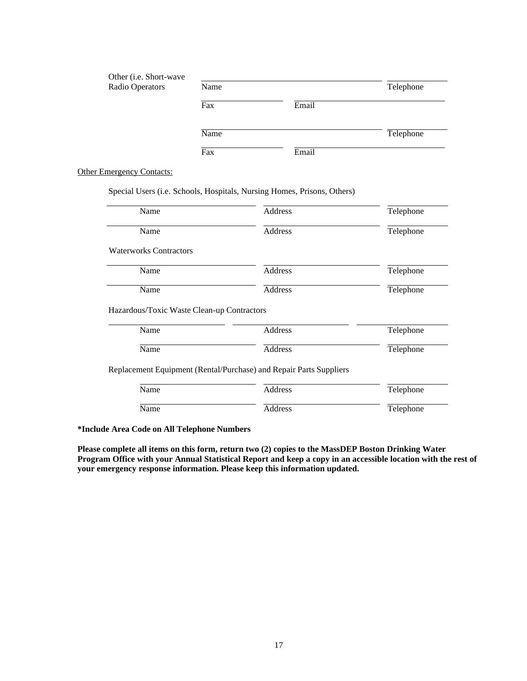| Other (i.e. Short-wave<br>Radio Operators | Name |       | Telephone |
|-------------------------------------------|------|-------|-----------|
|                                           | Fax  | Email |           |
|                                           | Name |       | Telephone |
|                                           | Fax  | Email |           |

**Other Emergency Contacts:** 

Special Users (i.e. Schools, Hospitals, Nursing Homes, Prisons, Others)

| Name                          | Address                                                            | Telephone |
|-------------------------------|--------------------------------------------------------------------|-----------|
| Name                          | Address                                                            | Telephone |
| <b>Waterworks Contractors</b> |                                                                    |           |
| Name                          | Address                                                            | Telephone |
| Name                          | Address                                                            | Telephone |
| Name                          | Address                                                            | Telephone |
| Name                          | Address                                                            |           |
|                               |                                                                    | Telephone |
|                               | Replacement Equipment (Rental/Purchase) and Repair Parts Suppliers |           |
| Name                          | Address                                                            | Telephone |
| Name                          | Address                                                            | Telephone |

**\*Include Area Code on All Telephone Numbers**

**Please complete all items on this form, return two (2) copies to the MassDEP Boston Drinking Water Program Office with your Annual Statistical Report and keep a copy in an accessible location with the rest of your emergency response information. Please keep this information updated.**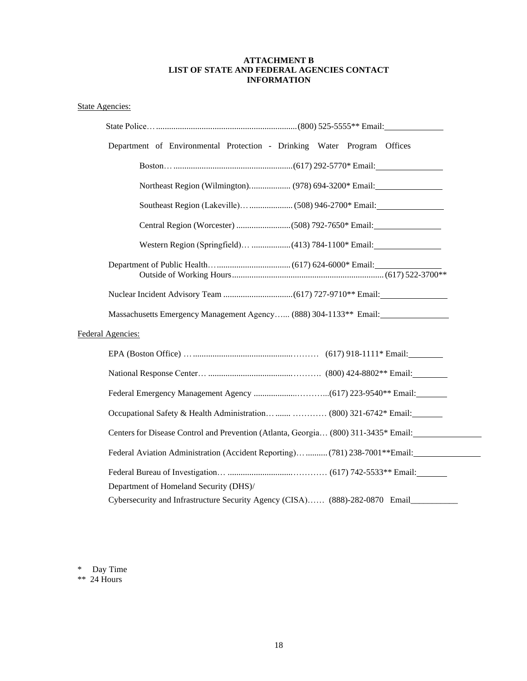# **ATTACHMENT B LIST OF STATE AND FEDERAL AGENCIES CONTACT INFORMATION**

# State Agencies:

| Department of Environmental Protection - Drinking Water Program Offices                       |
|-----------------------------------------------------------------------------------------------|
|                                                                                               |
| Northeast Region (Wilmington) (978) 694-3200* Email:                                          |
|                                                                                               |
|                                                                                               |
|                                                                                               |
|                                                                                               |
|                                                                                               |
| Massachusetts Emergency Management Agency (888) 304-1133** Email:                             |
| Federal Agencies:                                                                             |
|                                                                                               |
|                                                                                               |
|                                                                                               |
|                                                                                               |
| Centers for Disease Control and Prevention (Atlanta, Georgia (800) 311-3435* Email:           |
| Federal Aviation Administration (Accident Reporting)  (781) 238-7001**Email:                  |
| Department of Homeland Security (DHS)/                                                        |
| Cybersecurity and Infrastructure Security Agency (CISA) (888)-282-0870 Email_________________ |

\* Day Time

\*\* 24 Hours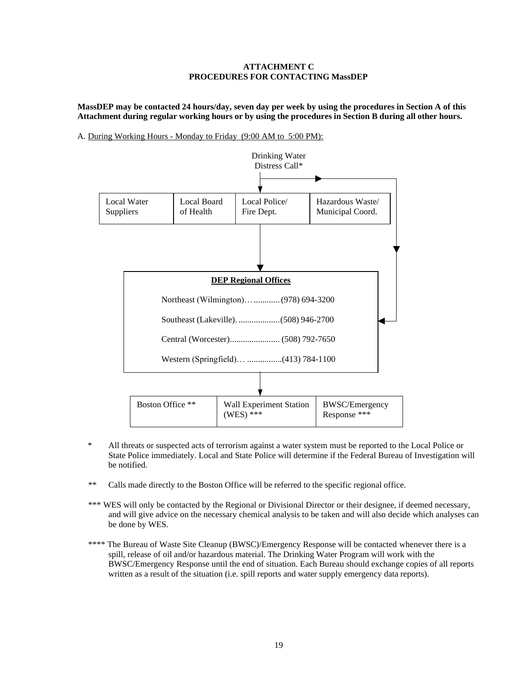# **ATTACHMENT C PROCEDURES FOR CONTACTING MassDEP**

**MassDEP may be contacted 24 hours/day, seven day per week by using the procedures in Section A of this Attachment during regular working hours or by using the procedures in Section B during all other hours.**

A. During Working Hours - Monday to Friday (9:00 AM to 5:00 PM):



- \* All threats or suspected acts of terrorism against a water system must be reported to the Local Police or State Police immediately. Local and State Police will determine if the Federal Bureau of Investigation will be notified.
- \*\* Calls made directly to the Boston Office will be referred to the specific regional office.
- \*\*\* WES will only be contacted by the Regional or Divisional Director or their designee, if deemed necessary, and will give advice on the necessary chemical analysis to be taken and will also decide which analyses can be done by WES.
- \*\*\*\* The Bureau of Waste Site Cleanup (BWSC)/Emergency Response will be contacted whenever there is a spill, release of oil and/or hazardous material. The Drinking Water Program will work with the BWSC/Emergency Response until the end of situation. Each Bureau should exchange copies of all reports written as a result of the situation (i.e. spill reports and water supply emergency data reports).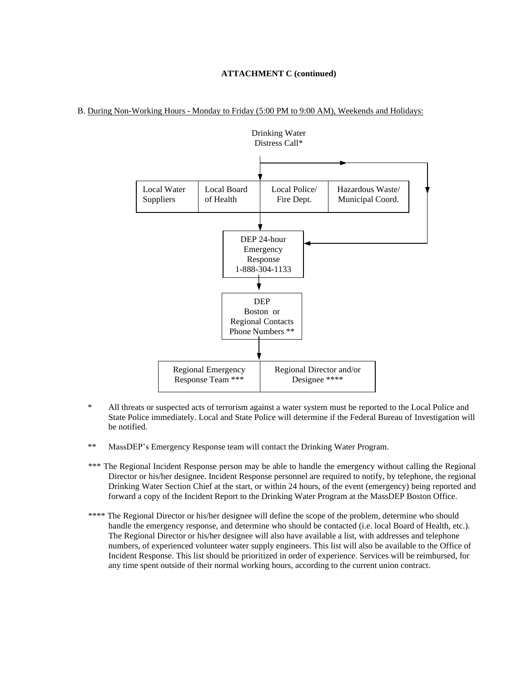#### B. During Non-Working Hours - Monday to Friday (5:00 PM to 9:00 AM), Weekends and Holidays:



- All threats or suspected acts of terrorism against a water system must be reported to the Local Police and State Police immediately. Local and State Police will determine if the Federal Bureau of Investigation will be notified.
- \*\* MassDEP's Emergency Response team will contact the Drinking Water Program.
- \*\*\* The Regional Incident Response person may be able to handle the emergency without calling the Regional Director or his/her designee. Incident Response personnel are required to notify, by telephone, the regional Drinking Water Section Chief at the start, or within 24 hours, of the event (emergency) being reported and forward a copy of the Incident Report to the Drinking Water Program at the MassDEP Boston Office.
- \*\*\*\* The Regional Director or his/her designee will define the scope of the problem, determine who should handle the emergency response, and determine who should be contacted (i.e. local Board of Health, etc.). The Regional Director or his/her designee will also have available a list, with addresses and telephone numbers, of experienced volunteer water supply engineers. This list will also be available to the Office of Incident Response. This list should be prioritized in order of experience. Services will be reimbursed, for any time spent outside of their normal working hours, according to the current union contract.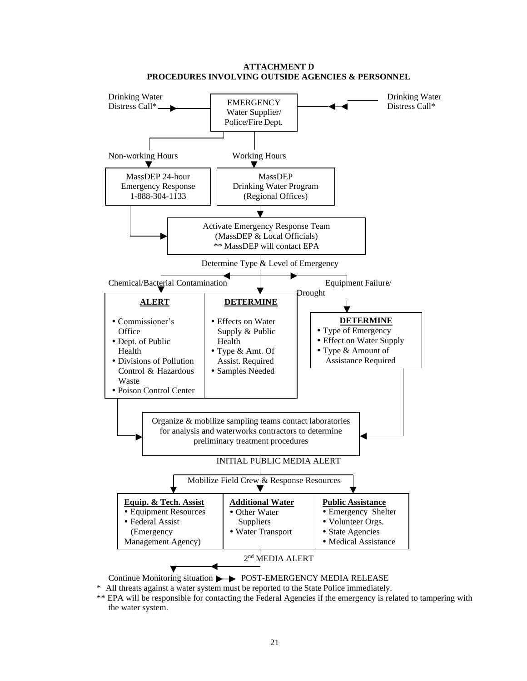

**ATTACHMENT D PROCEDURES INVOLVING OUTSIDE AGENCIES & PERSONNEL**

Continue Monitoring situation  $\rightarrow$  POST-EMERGENCY MEDIA RELEASE

\* All threats against a water system must be reported to the State Police immediately.

\*\* EPA will be responsible for contacting the Federal Agencies if the emergency is related to tampering with the water system.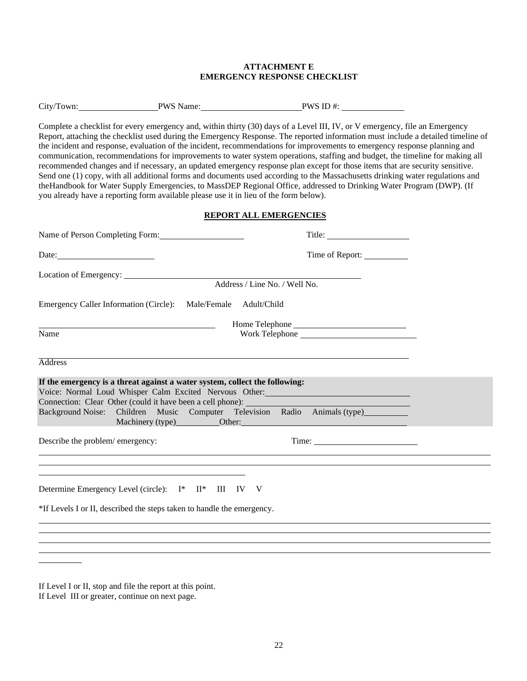# **ATTACHMENT E EMERGENCY RESPONSE CHECKLIST**

|  | City/Town: | <b>PWS Name:</b> | PWS ID $#$ : |
|--|------------|------------------|--------------|
|--|------------|------------------|--------------|

Complete a checklist for every emergency and, within thirty (30) days of a Level III, IV, or V emergency, file an Emergency Report, attaching the checklist used during the Emergency Response. The reported information must include a detailed timeline of the incident and response, evaluation of the incident, recommendations for improvements to emergency response planning and communication, recommendations for improvements to water system operations, staffing and budget, the timeline for making all recommended changes and if necessary, an updated emergency response plan except for those items that are security sensitive. Send one (1) copy, with all additional forms and documents used according to the Massachusetts drinking water regulations and theHandbook for Water Supply Emergencies, to MassDEP Regional Office, addressed to Drinking Water Program (DWP). (If you already have a reporting form available please use it in lieu of the form below).

# **REPORT ALL EMERGENCIES**

| Name of Person Completing Form:                                                                                                                    |                                                                                                                                                                                                                               |
|----------------------------------------------------------------------------------------------------------------------------------------------------|-------------------------------------------------------------------------------------------------------------------------------------------------------------------------------------------------------------------------------|
| Date:                                                                                                                                              | Time of Report:                                                                                                                                                                                                               |
| Location of Emergency:                                                                                                                             | Address / Line No. / Well No.                                                                                                                                                                                                 |
| Emergency Caller Information (Circle): Male/Female Adult/Child                                                                                     |                                                                                                                                                                                                                               |
| <u> 1989 - Johann Barn, mars ann an t-Amhair an t-A</u>                                                                                            |                                                                                                                                                                                                                               |
| Name                                                                                                                                               | Work Telephone                                                                                                                                                                                                                |
| <b>Address</b>                                                                                                                                     |                                                                                                                                                                                                                               |
| If the emergency is a threat against a water system, collect the following:<br>Connection: Clear Other (could it have been a cell phone): ________ | Voice: Normal Loud Whisper Calm Excited Nervous Other: Manual Alexander Andrew Manual Alexander Andrew Manual<br>Background Noise: Children Music Computer Television Radio Animals (type)________<br>Machinery (type) Other: |
| Describe the problem/emergency:<br>,我们也不会有什么。""我们的人,我们也不会有什么?""我们的人,我们也不会有什么?""我们的人,我们的人,我们的人,我们的人,我们的人,我们的人,我们的人,我                                |                                                                                                                                                                                                                               |
|                                                                                                                                                    |                                                                                                                                                                                                                               |
| Determine Emergency Level (circle): I* II* III IV V                                                                                                |                                                                                                                                                                                                                               |
| *If Levels I or II, described the steps taken to handle the emergency.                                                                             |                                                                                                                                                                                                                               |
|                                                                                                                                                    |                                                                                                                                                                                                                               |
|                                                                                                                                                    |                                                                                                                                                                                                                               |
|                                                                                                                                                    |                                                                                                                                                                                                                               |

If Level I or II, stop and file the report at this point. If Level III or greater, continue on next page.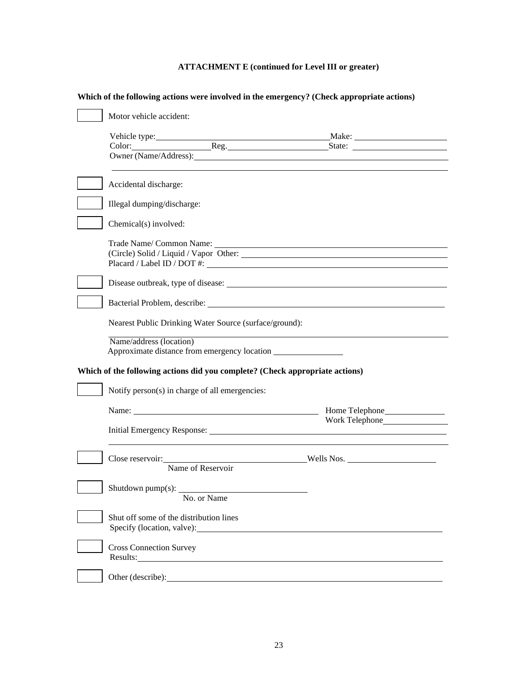# **ATTACHMENT E (continued for Level III or greater)**

| Motor vehicle accident:                                                                                                                                                                                                        |                |
|--------------------------------------------------------------------------------------------------------------------------------------------------------------------------------------------------------------------------------|----------------|
|                                                                                                                                                                                                                                |                |
| Owner (Name/Address): 1997                                                                                                                                                                                                     |                |
| Accidental discharge:                                                                                                                                                                                                          |                |
| Illegal dumping/discharge:                                                                                                                                                                                                     |                |
| Chemical(s) involved:                                                                                                                                                                                                          |                |
| (Circle) Solid / Liquid / Vapor Other:                                                                                                                                                                                         |                |
|                                                                                                                                                                                                                                |                |
|                                                                                                                                                                                                                                |                |
| Nearest Public Drinking Water Source (surface/ground):                                                                                                                                                                         |                |
| Name/address (location)<br>Approximate distance from emergency location                                                                                                                                                        |                |
| Which of the following actions did you complete? (Check appropriate actions)                                                                                                                                                   |                |
| Notify person(s) in charge of all emergencies:                                                                                                                                                                                 |                |
| Name:                                                                                                                                                                                                                          | Home Telephone |
| Initial Emergency Response: New York Change and School and School and School and School and School and School and School and School and School and School and School and School and School and School and School and School an |                |
| Close reservoir: Wells Nos.<br>Name of Reservoir                                                                                                                                                                               |                |
| Shutdown pump(s): __________<br>No. or Name                                                                                                                                                                                    |                |
| Shut off some of the distribution lines                                                                                                                                                                                        |                |
| <b>Cross Connection Survey</b><br>Results:                                                                                                                                                                                     |                |
|                                                                                                                                                                                                                                |                |

# **Which of the following actions were involved in the emergency? (Check appropriate actions)**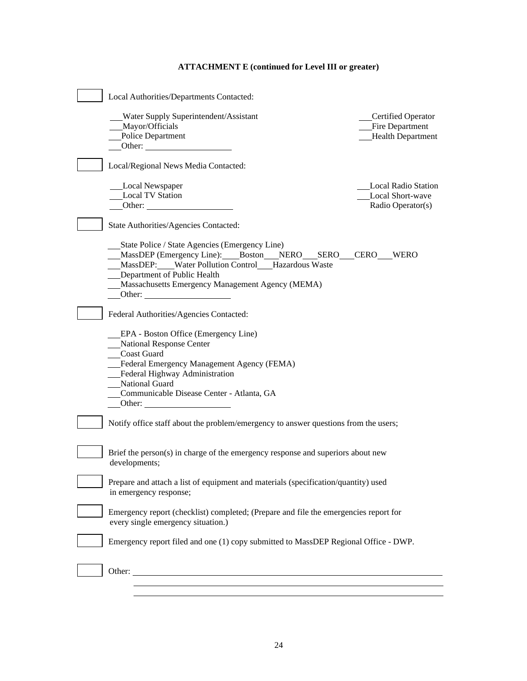# **ATTACHMENT E (continued for Level III or greater)**

| Local Authorities/Departments Contacted:                                                                                                                                                                                                        |                                                                     |
|-------------------------------------------------------------------------------------------------------------------------------------------------------------------------------------------------------------------------------------------------|---------------------------------------------------------------------|
| Water Supply Superintendent/Assistant<br>Mayor/Officials<br><b>Police Department</b><br>Other:                                                                                                                                                  | Certified Operator<br>Fire Department<br><b>Health Department</b>   |
| Local/Regional News Media Contacted:                                                                                                                                                                                                            |                                                                     |
| Local Newspaper<br><b>Local TV Station</b><br>Other: $\qquad \qquad$                                                                                                                                                                            | <b>Local Radio Station</b><br>Local Short-wave<br>Radio Operator(s) |
| State Authorities/Agencies Contacted:                                                                                                                                                                                                           |                                                                     |
| State Police / State Agencies (Emergency Line)<br>MassDEP (Emergency Line): Boston NERO SERO<br>MassDEP: Water Pollution Control Hazardous Waste<br>Department of Public Health<br>Massachusetts Emergency Management Agency (MEMA)<br>Other:   | <b>CERO</b><br><b>WERO</b>                                          |
| Federal Authorities/Agencies Contacted:                                                                                                                                                                                                         |                                                                     |
| EPA - Boston Office (Emergency Line)<br>National Response Center<br><b>Coast Guard</b><br>Federal Emergency Management Agency (FEMA)<br>Federal Highway Administration<br>National Guard<br>Communicable Disease Center - Atlanta, GA<br>Other: |                                                                     |
| Notify office staff about the problem/emergency to answer questions from the users;                                                                                                                                                             |                                                                     |
| Brief the person(s) in charge of the emergency response and superiors about new<br>developments;                                                                                                                                                |                                                                     |
| Prepare and attach a list of equipment and materials (specification/quantity) used<br>in emergency response;                                                                                                                                    |                                                                     |
| Emergency report (checklist) completed; (Prepare and file the emergencies report for<br>every single emergency situation.)                                                                                                                      |                                                                     |
| Emergency report filed and one (1) copy submitted to MassDEP Regional Office - DWP.                                                                                                                                                             |                                                                     |
| Other:<br><u> 1980 - John Stein, amerikansk politiker (d. 1980)</u>                                                                                                                                                                             |                                                                     |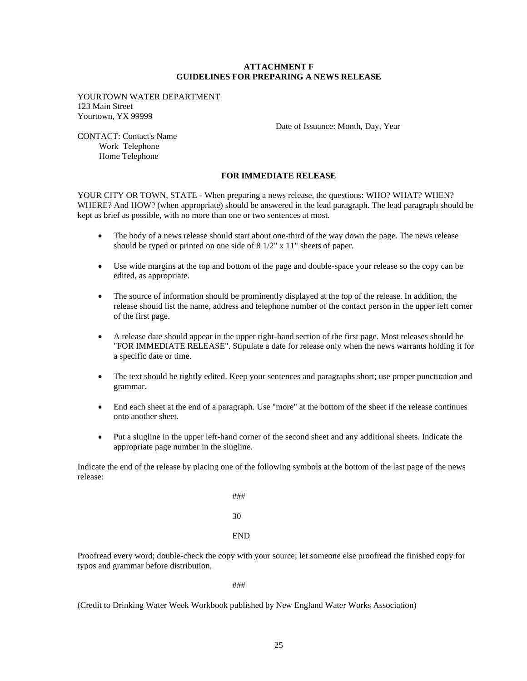## **ATTACHMENT F GUIDELINES FOR PREPARING A NEWS RELEASE**

YOURTOWN WATER DEPARTMENT 123 Main Street Yourtown, YX 99999

Date of Issuance: Month, Day, Year

CONTACT: Contact's Name Work Telephone Home Telephone

# **FOR IMMEDIATE RELEASE**

YOUR CITY OR TOWN, STATE - When preparing a news release, the questions: WHO? WHAT? WHEN? WHERE? And HOW? (when appropriate) should be answered in the lead paragraph. The lead paragraph should be kept as brief as possible, with no more than one or two sentences at most.

- The body of a news release should start about one-third of the way down the page. The news release should be typed or printed on one side of 8 1/2" x 11" sheets of paper.
- Use wide margins at the top and bottom of the page and double-space your release so the copy can be edited, as appropriate.
- The source of information should be prominently displayed at the top of the release. In addition, the release should list the name, address and telephone number of the contact person in the upper left corner of the first page.
- A release date should appear in the upper right-hand section of the first page. Most releases should be "FOR IMMEDIATE RELEASE". Stipulate a date for release only when the news warrants holding it for a specific date or time.
- The text should be tightly edited. Keep your sentences and paragraphs short; use proper punctuation and grammar.
- End each sheet at the end of a paragraph. Use "more" at the bottom of the sheet if the release continues onto another sheet.
- Put a slugline in the upper left-hand corner of the second sheet and any additional sheets. Indicate the appropriate page number in the slugline.

Indicate the end of the release by placing one of the following symbols at the bottom of the last page of the news release:

> ### 30 END

Proofread every word; double-check the copy with your source; let someone else proofread the finished copy for typos and grammar before distribution.

###

(Credit to Drinking Water Week Workbook published by New England Water Works Association)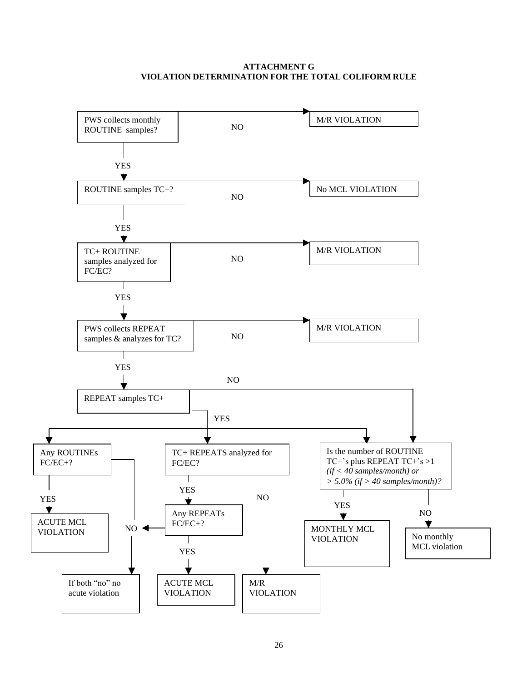# **ATTACHMENT G VIOLATION DETERMINATION FOR THE TOTAL COLIFORM RULE**

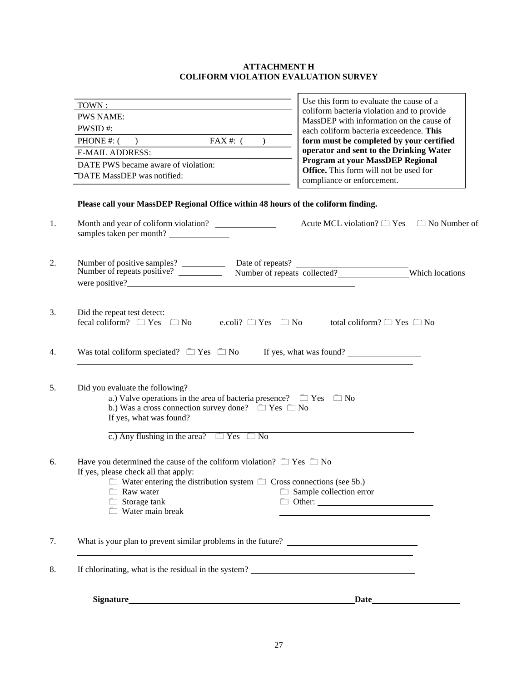# **ATTACHMENT H COLIFORM VIOLATION EVALUATION SURVEY**

 $\overline{\phantom{a}}$ 

| $TOWN$ :                                                                                                                                                                                                                                                   | Use this form to evaluate the cause of a                                                  |  |
|------------------------------------------------------------------------------------------------------------------------------------------------------------------------------------------------------------------------------------------------------------|-------------------------------------------------------------------------------------------|--|
| PWS NAME:                                                                                                                                                                                                                                                  | coliform bacteria violation and to provide<br>MassDEP with information on the cause of    |  |
| PWSID#:                                                                                                                                                                                                                                                    | each coliform bacteria exceedence. This                                                   |  |
| PHONE #: $($ ) FAX #: $($ )                                                                                                                                                                                                                                | form must be completed by your certified                                                  |  |
| <b>E-MAIL ADDRESS:</b>                                                                                                                                                                                                                                     | operator and sent to the Drinking Water                                                   |  |
| DATE PWS became aware of violation:                                                                                                                                                                                                                        | Program at your MassDEP Regional<br><b>Office.</b> This form will not be used for         |  |
| "DATE MassDEP was notified:                                                                                                                                                                                                                                | compliance or enforcement.                                                                |  |
| Please call your MassDEP Regional Office within 48 hours of the coliform finding.<br>Month and year of coliform violation?<br>samples taken per month?                                                                                                     | Acute MCL violation? $\Box$ Yes $\Box$ No Number of                                       |  |
| Number of positive samples?<br>Number of repeats positive?<br>Number of repeats collected?<br>Number of repeats collected?<br>Number of repeats collected?<br>were positive?                                                                               |                                                                                           |  |
| Did the repeat test detect:<br>fecal coliform? $\Box$ Yes $\Box$ No e.coli? $\Box$ Yes $\Box$ No                                                                                                                                                           | total coliform? $\Box$ Yes $\Box$ No                                                      |  |
|                                                                                                                                                                                                                                                            |                                                                                           |  |
| Was total coliform speciated? $\Box$ Yes $\Box$ No If yes, what was found?                                                                                                                                                                                 |                                                                                           |  |
| Did you evaluate the following?<br>a.) Valve operations in the area of bacteria presence? $\Box$ Yes $\Box$ No<br>b.) Was a cross connection survey done? $\Box$ Yes $\Box$ No<br>If yes, what was found?                                                  |                                                                                           |  |
| c.) Any flushing in the area? $\Box$ Yes $\Box$ No                                                                                                                                                                                                         |                                                                                           |  |
| Have you determined the cause of the coliform violation? $\Box$ Yes $\Box$ No<br>If yes, please check all that apply:<br>$\Box$ Water entering the distribution system $\Box$ Cross connections (see 5b.)<br>Raw water<br>Storage tank<br>Water main break | $\Box$ Sample collection error                                                            |  |
|                                                                                                                                                                                                                                                            |                                                                                           |  |
|                                                                                                                                                                                                                                                            | the control of the control of the control of the control of the control of the control of |  |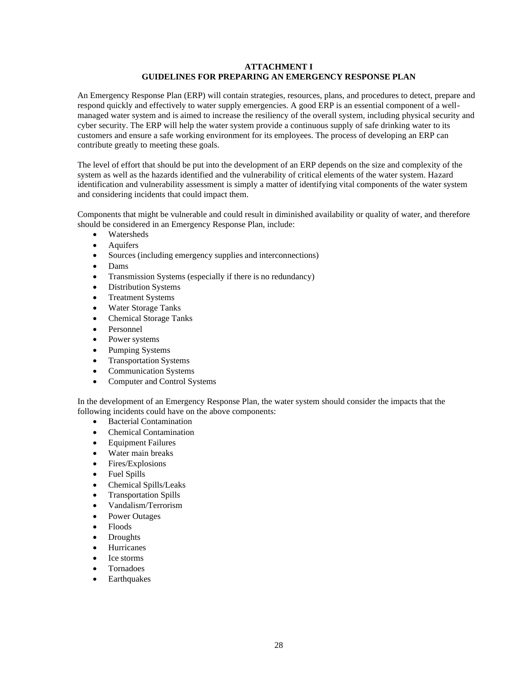# **ATTACHMENT I GUIDELINES FOR PREPARING AN EMERGENCY RESPONSE PLAN**

An Emergency Response Plan (ERP) will contain strategies, resources, plans, and procedures to detect, prepare and respond quickly and effectively to water supply emergencies. A good ERP is an essential component of a wellmanaged water system and is aimed to increase the resiliency of the overall system, including physical security and cyber security. The ERP will help the water system provide a continuous supply of safe drinking water to its customers and ensure a safe working environment for its employees. The process of developing an ERP can contribute greatly to meeting these goals.

The level of effort that should be put into the development of an ERP depends on the size and complexity of the system as well as the hazards identified and the vulnerability of critical elements of the water system. Hazard identification and vulnerability assessment is simply a matter of identifying vital components of the water system and considering incidents that could impact them.

Components that might be vulnerable and could result in diminished availability or quality of water, and therefore should be considered in an Emergency Response Plan, include:

- Watersheds
- **Aquifers**
- Sources (including emergency supplies and interconnections)
- Dams
- Transmission Systems (especially if there is no redundancy)
- Distribution Systems
- Treatment Systems
- Water Storage Tanks
- Chemical Storage Tanks
- Personnel
- Power systems
- Pumping Systems
- Transportation Systems
- Communication Systems
- Computer and Control Systems

In the development of an Emergency Response Plan, the water system should consider the impacts that the following incidents could have on the above components:

- **Bacterial Contamination**
- Chemical Contamination
- Equipment Failures
- Water main breaks
- Fires/Explosions
- Fuel Spills
- Chemical Spills/Leaks
- Transportation Spills
- Vandalism/Terrorism
- Power Outages
- Floods
- Droughts
- **Hurricanes**
- Ice storms
- Tornadoes
- **Earthquakes**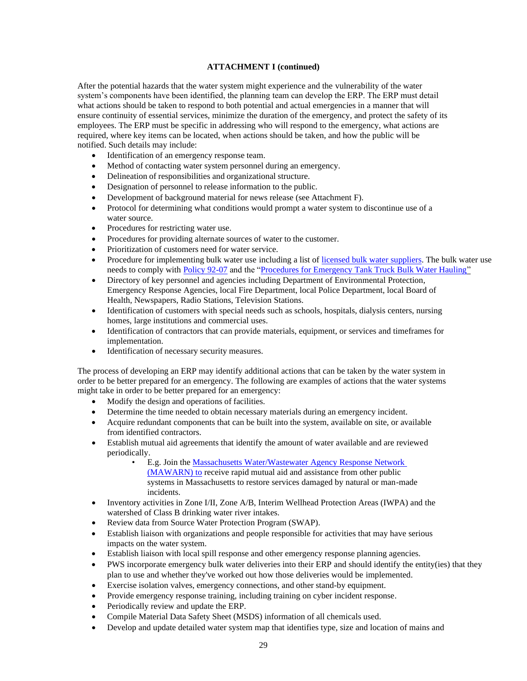After the potential hazards that the water system might experience and the vulnerability of the water system's components have been identified, the planning team can develop the ERP. The ERP must detail what actions should be taken to respond to both potential and actual emergencies in a manner that will ensure continuity of essential services, minimize the duration of the emergency, and protect the safety of its employees. The ERP must be specific in addressing who will respond to the emergency, what actions are required, where key items can be located, when actions should be taken, and how the public will be notified. Such details may include:

- Identification of an emergency response team.
- Method of contacting water system personnel during an emergency.
- Delineation of responsibilities and organizational structure.
- Designation of personnel to release information to the public.
- Development of background material for news release (see Attachment F).
- Protocol for determining what conditions would prompt a water system to discontinue use of a water source.
- Procedures for restricting water use.
- Procedures for providing alternate sources of water to the customer.
- Prioritization of customers need for water service.
- Procedure for implementing bulk water use including a list o[f licensed bulk water suppliers.](https://www.mass.gov/service-details/list-of-emergency-bulk-water-providers) The bulk water use needs to comply with [Policy 92-07](https://www.mass.gov/doc/drinking-water-policy-92-07-bulk-water-suppliers-sampling-requirements-and-transport/download) and the ["Procedures for Emergency Tank Truck Bulk Water Hauling"](https://www.mass.gov/doc/procedures-for-emergency-tank-truck-bulk-water-hauling-0/download)
- Directory of key personnel and agencies including Department of Environmental Protection, Emergency Response Agencies, local Fire Department, local Police Department, local Board of Health, Newspapers, Radio Stations, Television Stations.
- Identification of customers with special needs such as schools, hospitals, dialysis centers, nursing homes, large institutions and commercial uses.
- Identification of contractors that can provide materials, equipment, or services and timeframes for implementation.
- Identification of necessary security measures.

The process of developing an ERP may identify additional actions that can be taken by the water system in order to be better prepared for an emergency. The following are examples of actions that the water systems might take in order to be better prepared for an emergency:

- Modify the design and operations of facilities.
- Determine the time needed to obtain necessary materials during an emergency incident.
- Acquire redundant components that can be built into the system, available on site, or available from identified contractors.
- Establish mutual aid agreements that identify the amount of water available and are reviewed periodically.
	- E.g. Join th[e Massachusetts Water/Wastewater Agency Response Network](http://mawarn.org/)
	- [\(MAWARN\)](http://mawarn.org/) to receive rapid mutual aid and assistance from other public systems in Massachusetts to restore services damaged by natural or man-made incidents.
- Inventory activities in Zone I/II, Zone A/B, Interim Wellhead Protection Areas (IWPA) and the watershed of Class B drinking water river intakes.
- Review data from Source Water Protection Program (SWAP).
- Establish liaison with organizations and people responsible for activities that may have serious impacts on the water system.
- Establish liaison with local spill response and other emergency response planning agencies.
- PWS incorporate emergency bulk water deliveries into their ERP and should identify the entity(ies) that they plan to use and whether they've worked out how those deliveries would be implemented.
- Exercise isolation valves, emergency connections, and other stand-by equipment.
- Provide emergency response training, including training on cyber incident response.
- Periodically review and update the ERP.
- Compile Material Data Safety Sheet (MSDS) information of all chemicals used.
- Develop and update detailed water system map that identifies type, size and location of mains and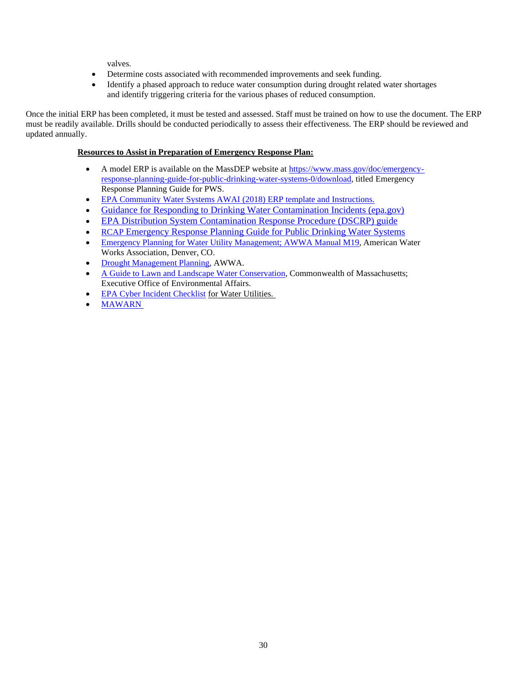valves.

- Determine costs associated with recommended improvements and seek funding.
- Identify a phased approach to reduce water consumption during drought related water shortages and identify triggering criteria for the various phases of reduced consumption.

Once the initial ERP has been completed, it must be tested and assessed. Staff must be trained on how to use the document. The ERP must be readily available. Drills should be conducted periodically to assess their effectiveness. The ERP should be reviewed and updated annually.

# **Resources to Assist in Preparation of Emergency Response Plan:**

- A model ERP is available on the MassDEP website at [https://www.mass.gov/doc/emergency](https://www.mass.gov/doc/emergency-response-planning-guide-for-public-drinking-water-systems-0/download)[response-planning-guide-for-public-drinking-water-systems-0/download,](https://www.mass.gov/doc/emergency-response-planning-guide-for-public-drinking-water-systems-0/download) titled Emergency Response Planning Guide for PWS.
- [EPA Community Water Systems AWAI](https://www.epa.gov/sites/default/files/2019-07/documents/190712-awia_erp_template_instructions_kab_508c_v6.pdf?VersionId=qNcn8X_2.554jehm.WgwRkpmQ0nSwImZ) (2018) ERP template and Instructions.
- [Guidance for Responding to Drinking Water Contamination Incidents \(epa.gov\)](https://www.epa.gov/sites/default/files/2018-12/documents/responding_to_dw_contamination_incidents.pdf)
- [EPA Distribution System Contamination Response Procedure \(DSCRP\) guide](https://www.epa.gov/sites/default/files/2018-12/documents/planning_for_contamination_primer_2.pdf#:~:text=A%20Distribution%20System%20Contamination%20Response%20Procedure%20%28DSCRP%29%20guides,activities%20that%20are%20unique%20to%20a%20contamination%20incident.)
- [RCAP](https://www.rcac.org/wp-content/uploads/2014/12/ERP-drinking-water.pdf) [Emergency Response Planning Guide for Public Drinking Water Systems](https://www.rcac.org/wp-content/uploads/2014/12/ERP-drinking-water.pdf)
- Emergency Planning for Water Utility [Management;](https://www.awwa.org/portals/0/files/publications/documents/m19lookinside.pdf) AWWA Manual M19, American Water Works Association, Denver, CO.
- Drought [Management](https://www.awwa.org/portals/0/files/publications/documents/m60lookinside.pdf) Planning, AWWA.
- A Guide to Lawn and Landscape Water [Conservation,](https://www.mass.gov/files/documents/2017/11/07/lawnguide.pdf) Commonwealth of Massachusetts; Executive Office of Environmental Affairs.
- **[EPA Cyber Incident Checklist](https://www.epa.gov/sites/default/files/2017-11/documents/171013-incidentactionchecklist-cybersecurity_form_508c.pdf) for Water Utilities.**
- [MAWARN](http://mawarn.org/)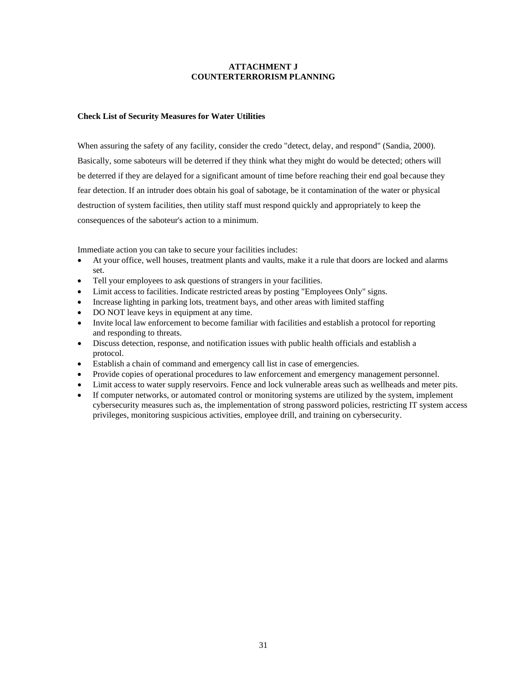# **ATTACHMENT J COUNTERTERRORISM PLANNING**

# **Check List of Security Measures for Water Utilities**

When assuring the safety of any facility, consider the credo "detect, delay, and respond" (Sandia, 2000). Basically, some saboteurs will be deterred if they think what they might do would be detected; others will be deterred if they are delayed for a significant amount of time before reaching their end goal because they fear detection. If an intruder does obtain his goal of sabotage, be it contamination of the water or physical destruction of system facilities, then utility staff must respond quickly and appropriately to keep the consequences of the saboteur's action to a minimum.

Immediate action you can take to secure your facilities includes:

- At your office, well houses, treatment plants and vaults, make it a rule that doors are locked and alarms set.
- Tell your employees to ask questions of strangers in your facilities.
- Limit access to facilities. Indicate restricted areas by posting "Employees Only" signs.
- Increase lighting in parking lots, treatment bays, and other areas with limited staffing
- DO NOT leave keys in equipment at any time.
- Invite local law enforcement to become familiar with facilities and establish a protocol for reporting and responding to threats.
- Discuss detection, response, and notification issues with public health officials and establish a protocol.
- Establish a chain of command and emergency call list in case of emergencies.
- Provide copies of operational procedures to law enforcement and emergency management personnel.
- Limit access to water supply reservoirs. Fence and lock vulnerable areas such as wellheads and meter pits.
- If computer networks, or automated control or monitoring systems are utilized by the system, implement cybersecurity measures such as, the implementation of strong password policies, restricting IT system access privileges, monitoring suspicious activities, employee drill, and training on cybersecurity.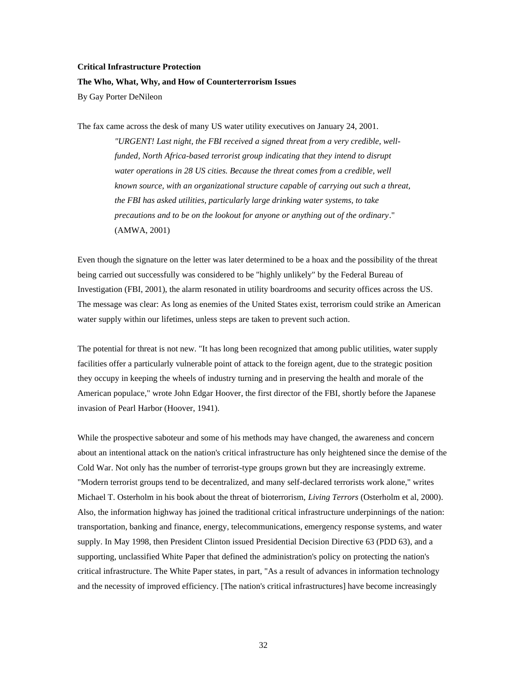#### **Critical Infrastructure Protection**

#### **The Who, What, Why, and How of Counterterrorism Issues**

By Gay Porter DeNileon

The fax came across the desk of many US water utility executives on January 24, 2001.

*"URGENT! Last night, the FBI received a signed threat from a very credible, wellfunded, North Africa-based terrorist group indicating that they intend to disrupt water operations in 28 US cities. Because the threat comes from a credible, well known source, with an organizational structure capable of carrying out such a threat, the FBI has asked utilities, particularly large drinking water systems, to take precautions and to be on the lookout for anyone or anything out of the ordinary*." (AMWA, 2001)

Even though the signature on the letter was later determined to be a hoax and the possibility of the threat being carried out successfully was considered to be "highly unlikely" by the Federal Bureau of Investigation (FBI, 2001), the alarm resonated in utility boardrooms and security offices across the US. The message was clear: As long as enemies of the United States exist, terrorism could strike an American water supply within our lifetimes, unless steps are taken to prevent such action.

The potential for threat is not new. "It has long been recognized that among public utilities, water supply facilities offer a particularly vulnerable point of attack to the foreign agent, due to the strategic position they occupy in keeping the wheels of industry turning and in preserving the health and morale of the American populace," wrote John Edgar Hoover, the first director of the FBI, shortly before the Japanese invasion of Pearl Harbor (Hoover, 1941).

While the prospective saboteur and some of his methods may have changed, the awareness and concern about an intentional attack on the nation's critical infrastructure has only heightened since the demise of the Cold War. Not only has the number of terrorist-type groups grown but they are increasingly extreme. "Modern terrorist groups tend to be decentralized, and many self-declared terrorists work alone," writes Michael T. Osterholm in his book about the threat of bioterrorism, *Living Terrors* (Osterholm et al, 2000). Also, the information highway has joined the traditional critical infrastructure underpinnings of the nation: transportation, banking and finance, energy, telecommunications, emergency response systems, and water supply. In May 1998, then President Clinton issued Presidential Decision Directive 63 (PDD 63), and a supporting, unclassified White Paper that defined the administration's policy on protecting the nation's critical infrastructure. The White Paper states, in part, "As a result of advances in information technology and the necessity of improved efficiency. [The nation's critical infrastructures] have become increasingly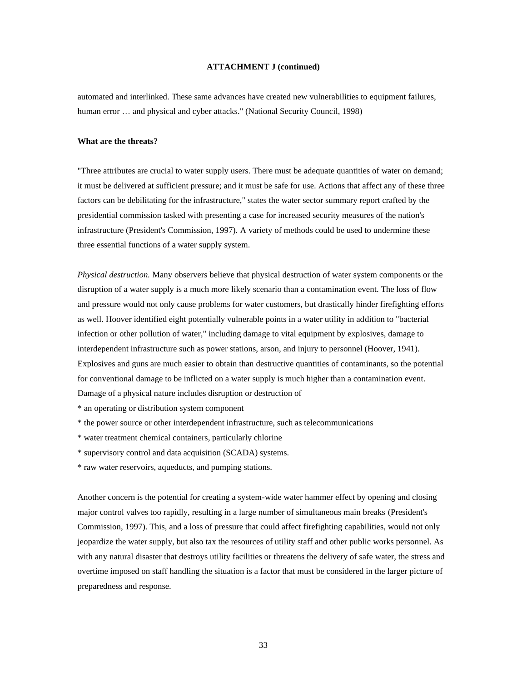automated and interlinked. These same advances have created new vulnerabilities to equipment failures, human error ... and physical and cyber attacks." (National Security Council, 1998)

#### **What are the threats?**

"Three attributes are crucial to water supply users. There must be adequate quantities of water on demand; it must be delivered at sufficient pressure; and it must be safe for use. Actions that affect any of these three factors can be debilitating for the infrastructure," states the water sector summary report crafted by the presidential commission tasked with presenting a case for increased security measures of the nation's infrastructure (President's Commission, 1997). A variety of methods could be used to undermine these three essential functions of a water supply system.

*Physical destruction.* Many observers believe that physical destruction of water system components or the disruption of a water supply is a much more likely scenario than a contamination event. The loss of flow and pressure would not only cause problems for water customers, but drastically hinder firefighting efforts as well. Hoover identified eight potentially vulnerable points in a water utility in addition to "bacterial infection or other pollution of water," including damage to vital equipment by explosives, damage to interdependent infrastructure such as power stations, arson, and injury to personnel (Hoover, 1941). Explosives and guns are much easier to obtain than destructive quantities of contaminants, so the potential for conventional damage to be inflicted on a water supply is much higher than a contamination event. Damage of a physical nature includes disruption or destruction of

\* an operating or distribution system component

\* the power source or other interdependent infrastructure, such as telecommunications

\* water treatment chemical containers, particularly chlorine

- \* supervisory control and data acquisition (SCADA) systems.
- \* raw water reservoirs, aqueducts, and pumping stations.

Another concern is the potential for creating a system-wide water hammer effect by opening and closing major control valves too rapidly, resulting in a large number of simultaneous main breaks (President's Commission, 1997). This, and a loss of pressure that could affect firefighting capabilities, would not only jeopardize the water supply, but also tax the resources of utility staff and other public works personnel. As with any natural disaster that destroys utility facilities or threatens the delivery of safe water, the stress and overtime imposed on staff handling the situation is a factor that must be considered in the larger picture of preparedness and response.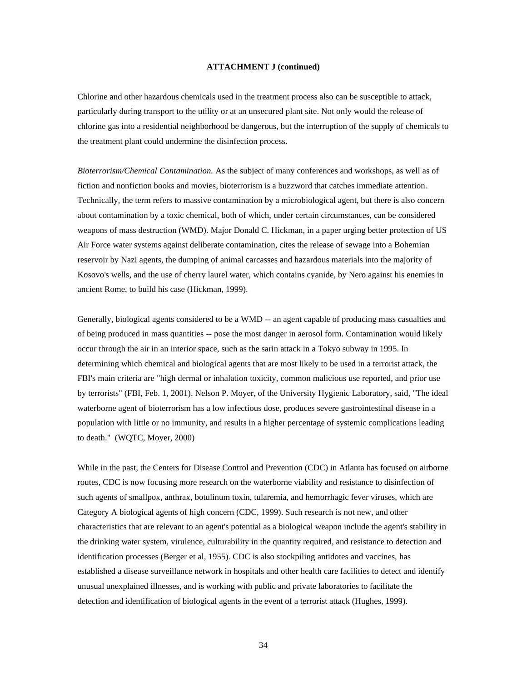Chlorine and other hazardous chemicals used in the treatment process also can be susceptible to attack, particularly during transport to the utility or at an unsecured plant site. Not only would the release of chlorine gas into a residential neighborhood be dangerous, but the interruption of the supply of chemicals to the treatment plant could undermine the disinfection process.

*Bioterrorism/Chemical Contamination.* As the subject of many conferences and workshops, as well as of fiction and nonfiction books and movies, bioterrorism is a buzzword that catches immediate attention. Technically, the term refers to massive contamination by a microbiological agent, but there is also concern about contamination by a toxic chemical, both of which, under certain circumstances, can be considered weapons of mass destruction (WMD). Major Donald C. Hickman, in a paper urging better protection of US Air Force water systems against deliberate contamination, cites the release of sewage into a Bohemian reservoir by Nazi agents, the dumping of animal carcasses and hazardous materials into the majority of Kosovo's wells, and the use of cherry laurel water, which contains cyanide, by Nero against his enemies in ancient Rome, to build his case (Hickman, 1999).

Generally, biological agents considered to be a WMD -- an agent capable of producing mass casualties and of being produced in mass quantities -- pose the most danger in aerosol form. Contamination would likely occur through the air in an interior space, such as the sarin attack in a Tokyo subway in 1995. In determining which chemical and biological agents that are most likely to be used in a terrorist attack, the FBI's main criteria are "high dermal or inhalation toxicity, common malicious use reported, and prior use by terrorists" (FBI, Feb. 1, 2001). Nelson P. Moyer, of the University Hygienic Laboratory, said, "The ideal waterborne agent of bioterrorism has a low infectious dose, produces severe gastrointestinal disease in a population with little or no immunity, and results in a higher percentage of systemic complications leading to death." (WQTC, Moyer, 2000)

While in the past, the Centers for Disease Control and Prevention (CDC) in Atlanta has focused on airborne routes, CDC is now focusing more research on the waterborne viability and resistance to disinfection of such agents of smallpox, anthrax, botulinum toxin, tularemia, and hemorrhagic fever viruses, which are Category A biological agents of high concern (CDC, 1999). Such research is not new, and other characteristics that are relevant to an agent's potential as a biological weapon include the agent's stability in the drinking water system, virulence, culturability in the quantity required, and resistance to detection and identification processes (Berger et al, 1955). CDC is also stockpiling antidotes and vaccines, has established a disease surveillance network in hospitals and other health care facilities to detect and identify unusual unexplained illnesses, and is working with public and private laboratories to facilitate the detection and identification of biological agents in the event of a terrorist attack (Hughes, 1999).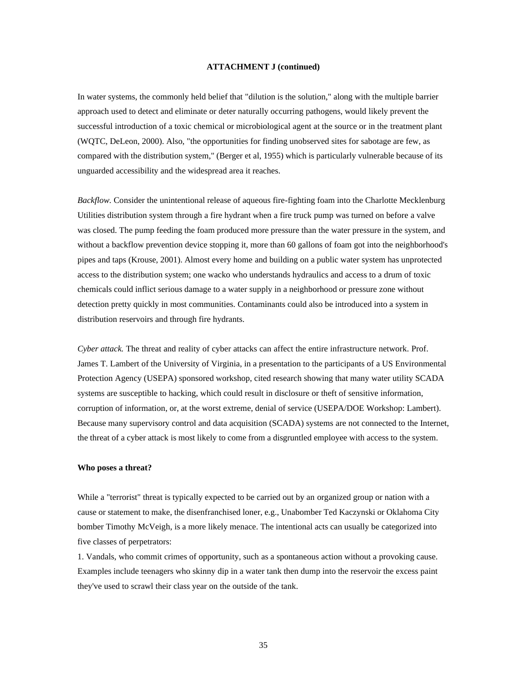In water systems, the commonly held belief that "dilution is the solution," along with the multiple barrier approach used to detect and eliminate or deter naturally occurring pathogens, would likely prevent the successful introduction of a toxic chemical or microbiological agent at the source or in the treatment plant (WQTC, DeLeon, 2000). Also, "the opportunities for finding unobserved sites for sabotage are few, as compared with the distribution system," (Berger et al, 1955) which is particularly vulnerable because of its unguarded accessibility and the widespread area it reaches.

*Backflow.* Consider the unintentional release of aqueous fire-fighting foam into the Charlotte Mecklenburg Utilities distribution system through a fire hydrant when a fire truck pump was turned on before a valve was closed. The pump feeding the foam produced more pressure than the water pressure in the system, and without a backflow prevention device stopping it, more than 60 gallons of foam got into the neighborhood's pipes and taps (Krouse, 2001). Almost every home and building on a public water system has unprotected access to the distribution system; one wacko who understands hydraulics and access to a drum of toxic chemicals could inflict serious damage to a water supply in a neighborhood or pressure zone without detection pretty quickly in most communities. Contaminants could also be introduced into a system in distribution reservoirs and through fire hydrants.

*Cyber attack.* The threat and reality of cyber attacks can affect the entire infrastructure network. Prof. James T. Lambert of the University of Virginia, in a presentation to the participants of a US Environmental Protection Agency (USEPA) sponsored workshop, cited research showing that many water utility SCADA systems are susceptible to hacking, which could result in disclosure or theft of sensitive information, corruption of information, or, at the worst extreme, denial of service (USEPA/DOE Workshop: Lambert). Because many supervisory control and data acquisition (SCADA) systems are not connected to the Internet, the threat of a cyber attack is most likely to come from a disgruntled employee with access to the system.

#### **Who poses a threat?**

While a "terrorist" threat is typically expected to be carried out by an organized group or nation with a cause or statement to make, the disenfranchised loner, e.g., Unabomber Ted Kaczynski or Oklahoma City bomber Timothy McVeigh, is a more likely menace. The intentional acts can usually be categorized into five classes of perpetrators:

1. Vandals, who commit crimes of opportunity, such as a spontaneous action without a provoking cause. Examples include teenagers who skinny dip in a water tank then dump into the reservoir the excess paint they've used to scrawl their class year on the outside of the tank.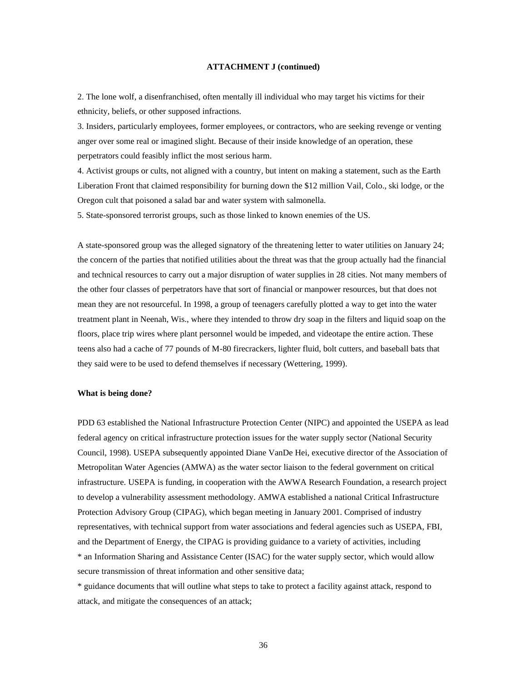2. The lone wolf, a disenfranchised, often mentally ill individual who may target his victims for their ethnicity, beliefs, or other supposed infractions.

3. Insiders, particularly employees, former employees, or contractors, who are seeking revenge or venting anger over some real or imagined slight. Because of their inside knowledge of an operation, these perpetrators could feasibly inflict the most serious harm.

4. Activist groups or cults, not aligned with a country, but intent on making a statement, such as the Earth Liberation Front that claimed responsibility for burning down the \$12 million Vail, Colo., ski lodge, or the Oregon cult that poisoned a salad bar and water system with salmonella.

5. State-sponsored terrorist groups, such as those linked to known enemies of the US.

A state-sponsored group was the alleged signatory of the threatening letter to water utilities on January 24; the concern of the parties that notified utilities about the threat was that the group actually had the financial and technical resources to carry out a major disruption of water supplies in 28 cities. Not many members of the other four classes of perpetrators have that sort of financial or manpower resources, but that does not mean they are not resourceful. In 1998, a group of teenagers carefully plotted a way to get into the water treatment plant in Neenah, Wis., where they intended to throw dry soap in the filters and liquid soap on the floors, place trip wires where plant personnel would be impeded, and videotape the entire action. These teens also had a cache of 77 pounds of M-80 firecrackers, lighter fluid, bolt cutters, and baseball bats that they said were to be used to defend themselves if necessary (Wettering, 1999).

#### **What is being done?**

PDD 63 established the National Infrastructure Protection Center (NIPC) and appointed the USEPA as lead federal agency on critical infrastructure protection issues for the water supply sector (National Security Council, 1998). USEPA subsequently appointed Diane VanDe Hei, executive director of the Association of Metropolitan Water Agencies (AMWA) as the water sector liaison to the federal government on critical infrastructure. USEPA is funding, in cooperation with the AWWA Research Foundation, a research project to develop a vulnerability assessment methodology. AMWA established a national Critical Infrastructure Protection Advisory Group (CIPAG), which began meeting in January 2001. Comprised of industry representatives, with technical support from water associations and federal agencies such as USEPA, FBI, and the Department of Energy, the CIPAG is providing guidance to a variety of activities, including \* an Information Sharing and Assistance Center (ISAC) for the water supply sector, which would allow secure transmission of threat information and other sensitive data;

\* guidance documents that will outline what steps to take to protect a facility against attack, respond to attack, and mitigate the consequences of an attack;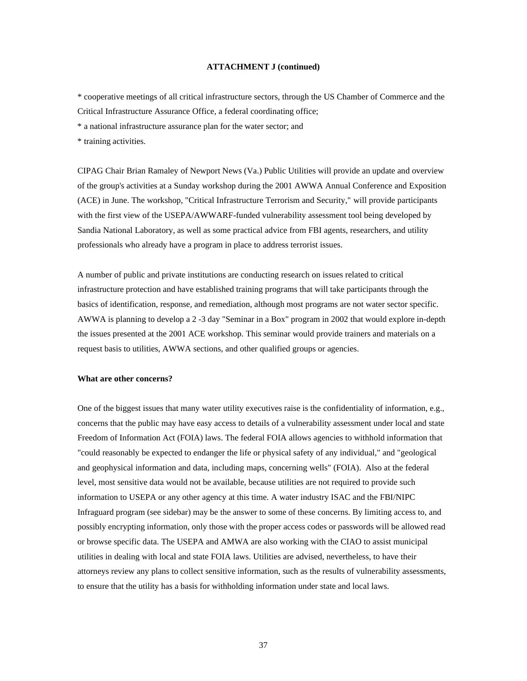\* cooperative meetings of all critical infrastructure sectors, through the US Chamber of Commerce and the Critical Infrastructure Assurance Office, a federal coordinating office;

\* a national infrastructure assurance plan for the water sector; and

\* training activities.

CIPAG Chair Brian Ramaley of Newport News (Va.) Public Utilities will provide an update and overview of the group's activities at a Sunday workshop during the 2001 AWWA Annual Conference and Exposition (ACE) in June. The workshop, "Critical Infrastructure Terrorism and Security," will provide participants with the first view of the USEPA/AWWARF-funded vulnerability assessment tool being developed by Sandia National Laboratory, as well as some practical advice from FBI agents, researchers, and utility professionals who already have a program in place to address terrorist issues.

A number of public and private institutions are conducting research on issues related to critical infrastructure protection and have established training programs that will take participants through the basics of identification, response, and remediation, although most programs are not water sector specific. AWWA is planning to develop a 2 -3 day "Seminar in a Box" program in 2002 that would explore in-depth the issues presented at the 2001 ACE workshop. This seminar would provide trainers and materials on a request basis to utilities, AWWA sections, and other qualified groups or agencies.

#### **What are other concerns?**

One of the biggest issues that many water utility executives raise is the confidentiality of information, e.g., concerns that the public may have easy access to details of a vulnerability assessment under local and state Freedom of Information Act (FOIA) laws. The federal FOIA allows agencies to withhold information that "could reasonably be expected to endanger the life or physical safety of any individual," and "geological and geophysical information and data, including maps, concerning wells" (FOIA). Also at the federal level, most sensitive data would not be available, because utilities are not required to provide such information to USEPA or any other agency at this time. A water industry ISAC and the FBI/NIPC Infraguard program (see sidebar) may be the answer to some of these concerns. By limiting access to, and possibly encrypting information, only those with the proper access codes or passwords will be allowed read or browse specific data. The USEPA and AMWA are also working with the CIAO to assist municipal utilities in dealing with local and state FOIA laws. Utilities are advised, nevertheless, to have their attorneys review any plans to collect sensitive information, such as the results of vulnerability assessments, to ensure that the utility has a basis for withholding information under state and local laws.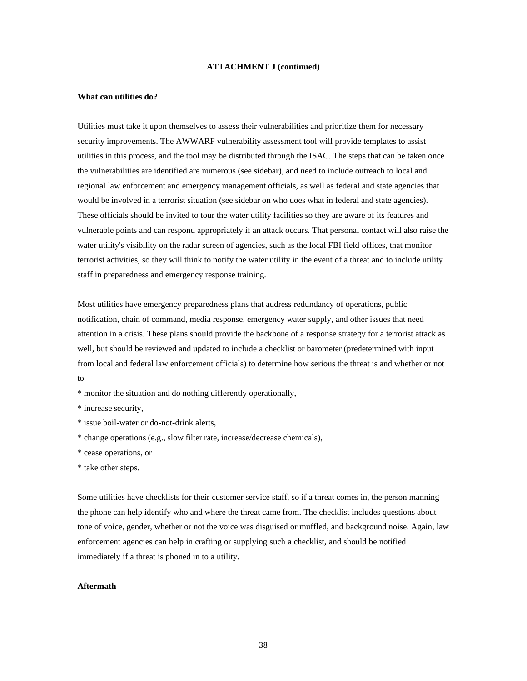#### **What can utilities do?**

Utilities must take it upon themselves to assess their vulnerabilities and prioritize them for necessary security improvements. The AWWARF vulnerability assessment tool will provide templates to assist utilities in this process, and the tool may be distributed through the ISAC. The steps that can be taken once the vulnerabilities are identified are numerous (see sidebar), and need to include outreach to local and regional law enforcement and emergency management officials, as well as federal and state agencies that would be involved in a terrorist situation (see sidebar on who does what in federal and state agencies). These officials should be invited to tour the water utility facilities so they are aware of its features and vulnerable points and can respond appropriately if an attack occurs. That personal contact will also raise the water utility's visibility on the radar screen of agencies, such as the local FBI field offices, that monitor terrorist activities, so they will think to notify the water utility in the event of a threat and to include utility staff in preparedness and emergency response training.

Most utilities have emergency preparedness plans that address redundancy of operations, public notification, chain of command, media response, emergency water supply, and other issues that need attention in a crisis. These plans should provide the backbone of a response strategy for a terrorist attack as well, but should be reviewed and updated to include a checklist or barometer (predetermined with input from local and federal law enforcement officials) to determine how serious the threat is and whether or not to

\* monitor the situation and do nothing differently operationally,

- \* issue boil-water or do-not-drink alerts,
- \* change operations (e.g., slow filter rate, increase/decrease chemicals),
- \* cease operations, or
- \* take other steps.

Some utilities have checklists for their customer service staff, so if a threat comes in, the person manning the phone can help identify who and where the threat came from. The checklist includes questions about tone of voice, gender, whether or not the voice was disguised or muffled, and background noise. Again, law enforcement agencies can help in crafting or supplying such a checklist, and should be notified immediately if a threat is phoned in to a utility.

## **Aftermath**

<sup>\*</sup> increase security,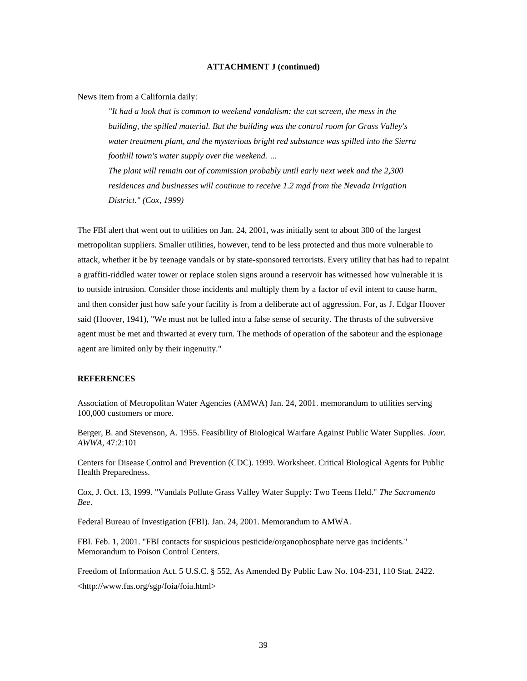News item from a California daily:

*"It had a look that is common to weekend vandalism: the cut screen, the mess in the building, the spilled material. But the building was the control room for Grass Valley's water treatment plant, and the mysterious bright red substance was spilled into the Sierra foothill town's water supply over the weekend. …*

*The plant will remain out of commission probably until early next week and the 2,300 residences and businesses will continue to receive 1.2 mgd from the Nevada Irrigation District." (Cox, 1999)*

The FBI alert that went out to utilities on Jan. 24, 2001, was initially sent to about 300 of the largest metropolitan suppliers. Smaller utilities, however, tend to be less protected and thus more vulnerable to attack, whether it be by teenage vandals or by state-sponsored terrorists. Every utility that has had to repaint a graffiti-riddled water tower or replace stolen signs around a reservoir has witnessed how vulnerable it is to outside intrusion. Consider those incidents and multiply them by a factor of evil intent to cause harm, and then consider just how safe your facility is from a deliberate act of aggression. For, as J. Edgar Hoover said (Hoover, 1941), "We must not be lulled into a false sense of security. The thrusts of the subversive agent must be met and thwarted at every turn. The methods of operation of the saboteur and the espionage agent are limited only by their ingenuity."

#### **REFERENCES**

Association of Metropolitan Water Agencies (AMWA) Jan. 24, 2001. memorandum to utilities serving 100,000 customers or more.

Berger, B. and Stevenson, A. 1955. Feasibility of Biological Warfare Against Public Water Supplies. *Jour. AWWA*, 47:2:101

Centers for Disease Control and Prevention (CDC). 1999. Worksheet. Critical Biological Agents for Public Health Preparedness.

Cox, J. Oct. 13, 1999. "Vandals Pollute Grass Valley Water Supply: Two Teens Held." *The Sacramento Bee*.

Federal Bureau of Investigation (FBI). Jan. 24, 2001. Memorandum to AMWA.

FBI. Feb. 1, 2001. "FBI contacts for suspicious pesticide/organophosphate nerve gas incidents." Memorandum to Poison Control Centers.

Freedom of Information Act. 5 U.S.C. § 552, As Amended By Public Law No. 104-231, 110 Stat. 2422.

[<http://www.fas.org/sgp/foia/foia.html>](http://www.fas.org/sgp/foia/foia.html)